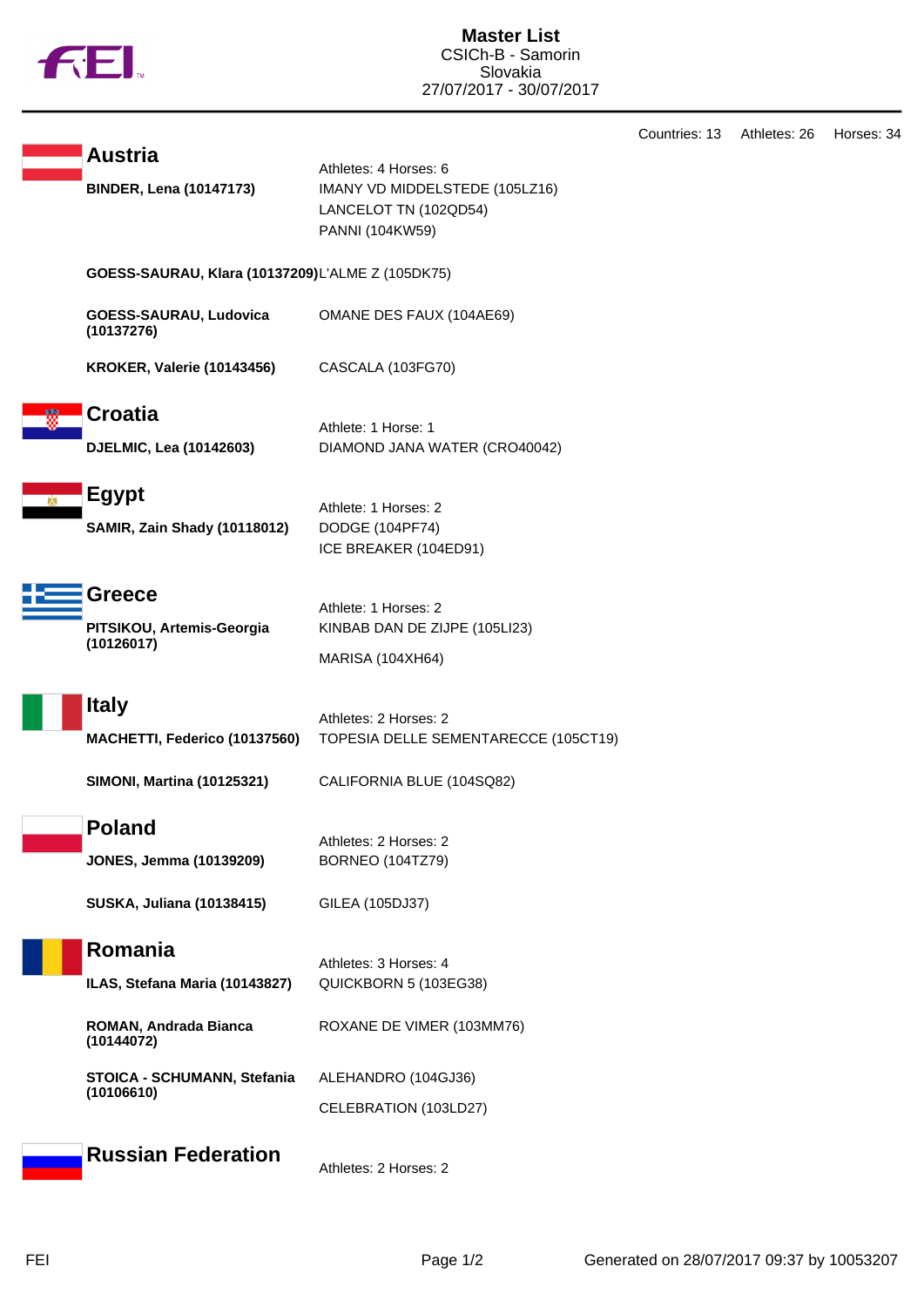

Countries: 13 Athletes: 26 Horses: 34

|                                                     |                                                                                                     | Countries: 13 | H <sub>1</sub> |
|-----------------------------------------------------|-----------------------------------------------------------------------------------------------------|---------------|----------------|
| <b>Austria</b><br><b>BINDER, Lena (10147173)</b>    | Athletes: 4 Horses: 6<br>IMANY VD MIDDELSTEDE (105LZ16)<br>LANCELOT TN (102QD54)<br>PANNI (104KW59) |               |                |
| GOESS-SAURAU, Klara (10137209)L'ALME Z (105DK75)    |                                                                                                     |               |                |
| GOESS-SAURAU, Ludovica<br>(10137276)                | OMANE DES FAUX (104AE69)                                                                            |               |                |
| <b>KROKER, Valerie (10143456)</b>                   | CASCALA (103FG70)                                                                                   |               |                |
| <b>Croatia</b><br>DJELMIC, Lea (10142603)           | Athlete: 1 Horse: 1<br>DIAMOND JANA WATER (CRO40042)                                                |               |                |
| <b>Egypt</b><br><b>SAMIR, Zain Shady (10118012)</b> | Athlete: 1 Horses: 2<br>DODGE (104PF74)<br>ICE BREAKER (104ED91)                                    |               |                |
| Greece<br>PITSIKOU, Artemis-Georgia<br>(10126017)   | Athlete: 1 Horses: 2<br>KINBAB DAN DE ZIJPE (105LI23)<br>MARISA (104XH64)                           |               |                |
| <b>Italy</b><br>MACHETTI, Federico (10137560)       | Athletes: 2 Horses: 2<br>TOPESIA DELLE SEMENTARECCE (105CT19)                                       |               |                |
| <b>SIMONI, Martina (10125321)</b>                   | CALIFORNIA BLUE (104SQ82)                                                                           |               |                |
| <b>Poland</b><br><b>JONES, Jemma (10139209)</b>     | Athletes: 2 Horses: 2<br><b>BORNEO (104TZ79)</b>                                                    |               |                |
| <b>SUSKA, Juliana (10138415)</b>                    | GILEA (105DJ37)                                                                                     |               |                |
| Romania<br>ILAS, Stefana Maria (10143827)           | Athletes: 3 Horses: 4<br>QUICKBORN 5 (103EG38)                                                      |               |                |
| ROMAN, Andrada Bianca<br>(10144072)                 | ROXANE DE VIMER (103MM76)                                                                           |               |                |
| STOICA - SCHUMANN, Stefania<br>(10106610)           | ALEHANDRO (104GJ36)<br>CELEBRATION (103LD27)                                                        |               |                |
| <b>Russian Federation</b>                           | Athletes: 2 Horses: 2                                                                               |               |                |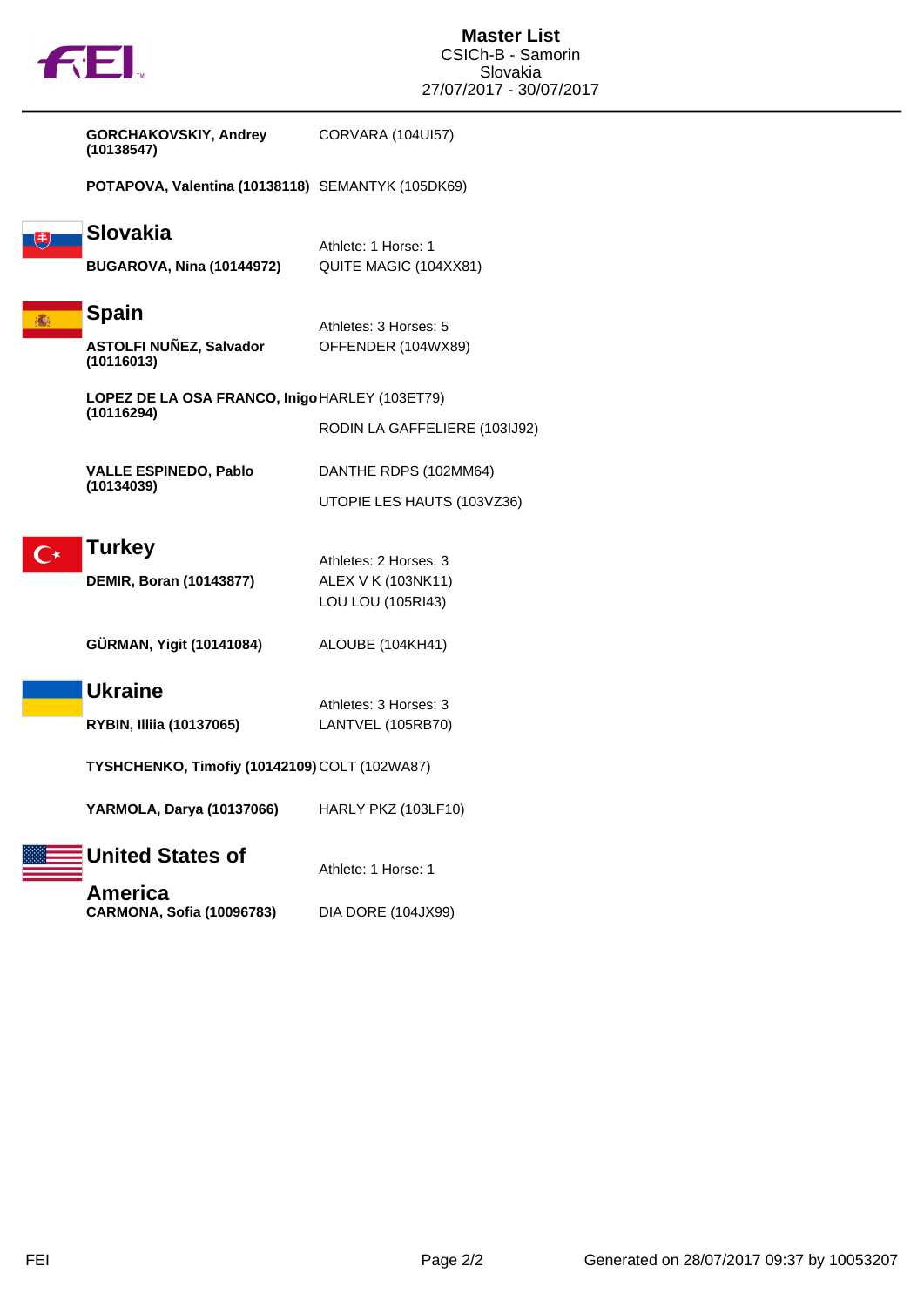| <b>AEI</b>                                                                    | <b>Master List</b><br>CSICh-B - Samorin<br>Slovakia<br>27/07/2017 - 30/07/2017 |
|-------------------------------------------------------------------------------|--------------------------------------------------------------------------------|
| <b>GORCHAKOVSKIY, Andrey</b><br>(10138547)                                    | CORVARA (104UI57)                                                              |
| POTAPOVA, Valentina (10138118) SEMANTYK (105DK69)                             |                                                                                |
| <b>Slovakia</b><br>叟<br><b>BUGAROVA, Nina (10144972)</b>                      | Athlete: 1 Horse: 1<br>QUITE MAGIC (104XX81)                                   |
| <b>Spain</b><br><b>ASTOLFI NUÑEZ, Salvador</b><br>(10116013)                  | Athletes: 3 Horses: 5<br>OFFENDER (104WX89)                                    |
| LOPEZ DE LA OSA FRANCO, Inigo HARLEY (103ET79)<br>(10116294)                  | RODIN LA GAFFELIERE (103IJ92)                                                  |
| <b>VALLE ESPINEDO, Pablo</b><br>(10134039)                                    | DANTHE RDPS (102MM64)<br>UTOPIE LES HAUTS (103VZ36)                            |
| <b>Turkey</b><br>DEMIR, Boran (10143877)                                      | Athletes: 2 Horses: 3<br>ALEX V K (103NK11)<br>LOU LOU (105RI43)               |
| GÜRMAN, Yigit (10141084)                                                      | ALOUBE (104KH41)                                                               |
| <b>Ukraine</b><br><b>RYBIN, Illiia (10137065)</b>                             | Athletes: 3 Horses: 3<br>LANTVEL (105RB70)                                     |
| TYSHCHENKO, Timofiy (10142109) COLT (102WA87)                                 |                                                                                |
| YARMOLA, Darya (10137066)                                                     | HARLY PKZ (103LF10)                                                            |
| <b>United States of</b><br><b>America</b><br><b>CARMONA, Sofia (10096783)</b> | Athlete: 1 Horse: 1<br><b>DIA DORE (104JX99)</b>                               |
|                                                                               |                                                                                |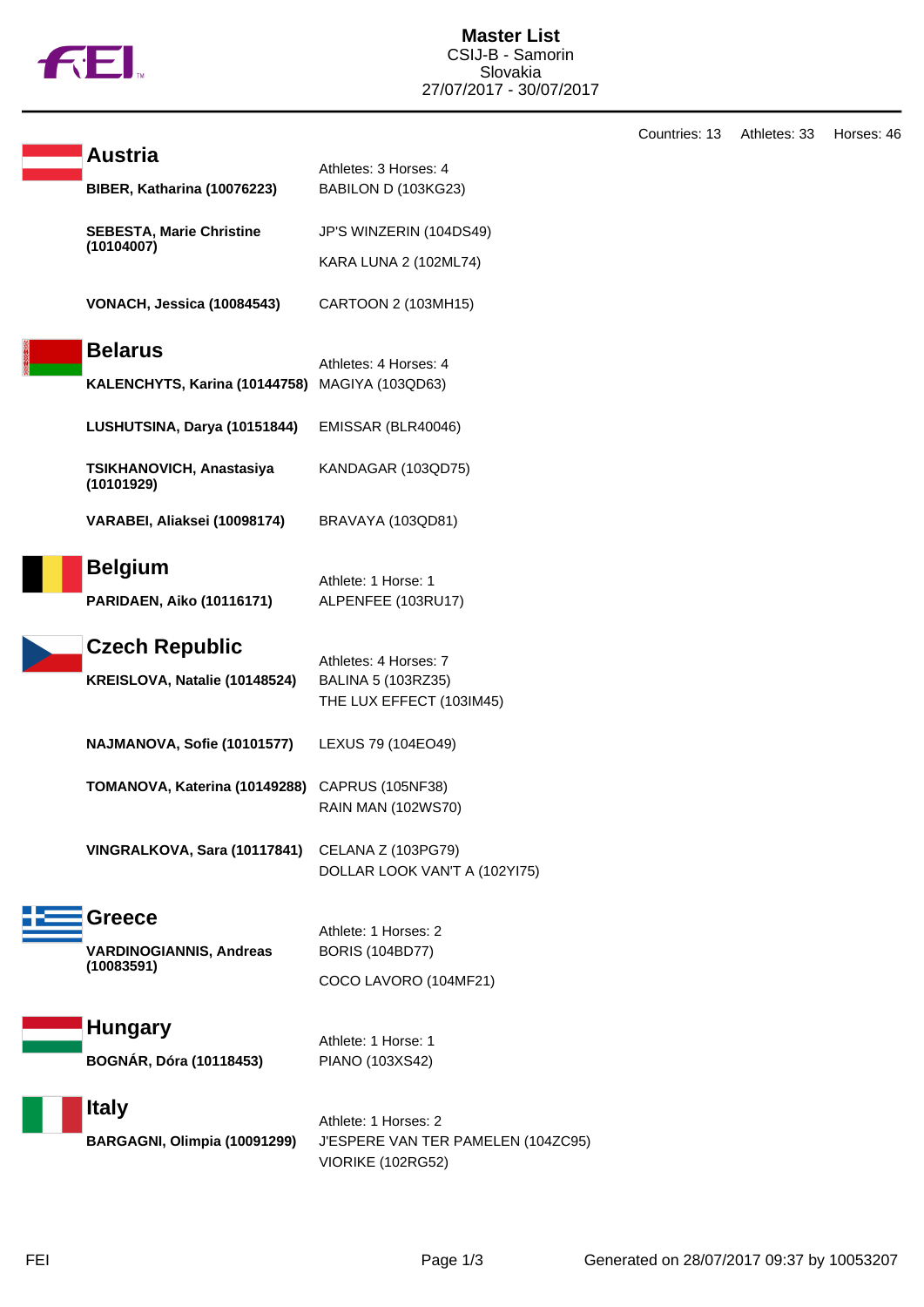

|                                        |                                                                                 | Countries: 13 | Athletes: 33 | Horses: 46 |
|----------------------------------------|---------------------------------------------------------------------------------|---------------|--------------|------------|
| <b>Austria</b>                         | Athletes: 3 Horses: 4                                                           |               |              |            |
| BIBER, Katharina (10076223)            | BABILON D (103KG23)                                                             |               |              |            |
| <b>SEBESTA, Marie Christine</b>        | JP'S WINZERIN (104DS49)                                                         |               |              |            |
| (10104007)                             | KARA LUNA 2 (102ML74)                                                           |               |              |            |
| VONACH, Jessica (10084543)             | CARTOON 2 (103MH15)                                                             |               |              |            |
| <b>Belarus</b>                         |                                                                                 |               |              |            |
| KALENCHYTS, Karina (10144758)          | Athletes: 4 Horses: 4<br>MAGIYA (103QD63)                                       |               |              |            |
| LUSHUTSINA, Darya (10151844)           | EMISSAR (BLR40046)                                                              |               |              |            |
| TSIKHANOVICH, Anastasiya<br>(10101929) | KANDAGAR (103QD75)                                                              |               |              |            |
| VARABEI, Aliaksei (10098174)           | BRAVAYA (103QD81)                                                               |               |              |            |
| <b>Belgium</b>                         |                                                                                 |               |              |            |
| <b>PARIDAEN, Aiko (10116171)</b>       | Athlete: 1 Horse: 1<br>ALPENFEE (103RU17)                                       |               |              |            |
| <b>Czech Republic</b>                  | Athletes: 4 Horses: 7                                                           |               |              |            |
| KREISLOVA, Natalie (10148524)          | BALINA 5 (103RZ35)<br>THE LUX EFFECT (103IM45)                                  |               |              |            |
| NAJMANOVA, Sofie (10101577)            | LEXUS 79 (104EO49)                                                              |               |              |            |
| TOMANOVA, Katerina (10149288)          | CAPRUS (105NF38)<br><b>RAIN MAN (102WS70)</b>                                   |               |              |            |
| VINGRALKOVA, Sara (10117841)           | CELANA Z (103PG79)<br>DOLLAR LOOK VAN'T A (102YI75)                             |               |              |            |
| <b>Greece</b>                          |                                                                                 |               |              |            |
| <b>VARDINOGIANNIS, Andreas</b>         | Athlete: 1 Horses: 2<br><b>BORIS (104BD77)</b>                                  |               |              |            |
| (10083591)                             | COCO LAVORO (104MF21)                                                           |               |              |            |
| <b>Hungary</b>                         |                                                                                 |               |              |            |
| BOGNÁR, Dóra (10118453)                | Athlete: 1 Horse: 1<br>PIANO (103XS42)                                          |               |              |            |
| <b>Italy</b>                           |                                                                                 |               |              |            |
| BARGAGNI, Olimpia (10091299)           | Athlete: 1 Horses: 2<br>J'ESPERE VAN TER PAMELEN (104ZC95)<br>VIORIKE (102RG52) |               |              |            |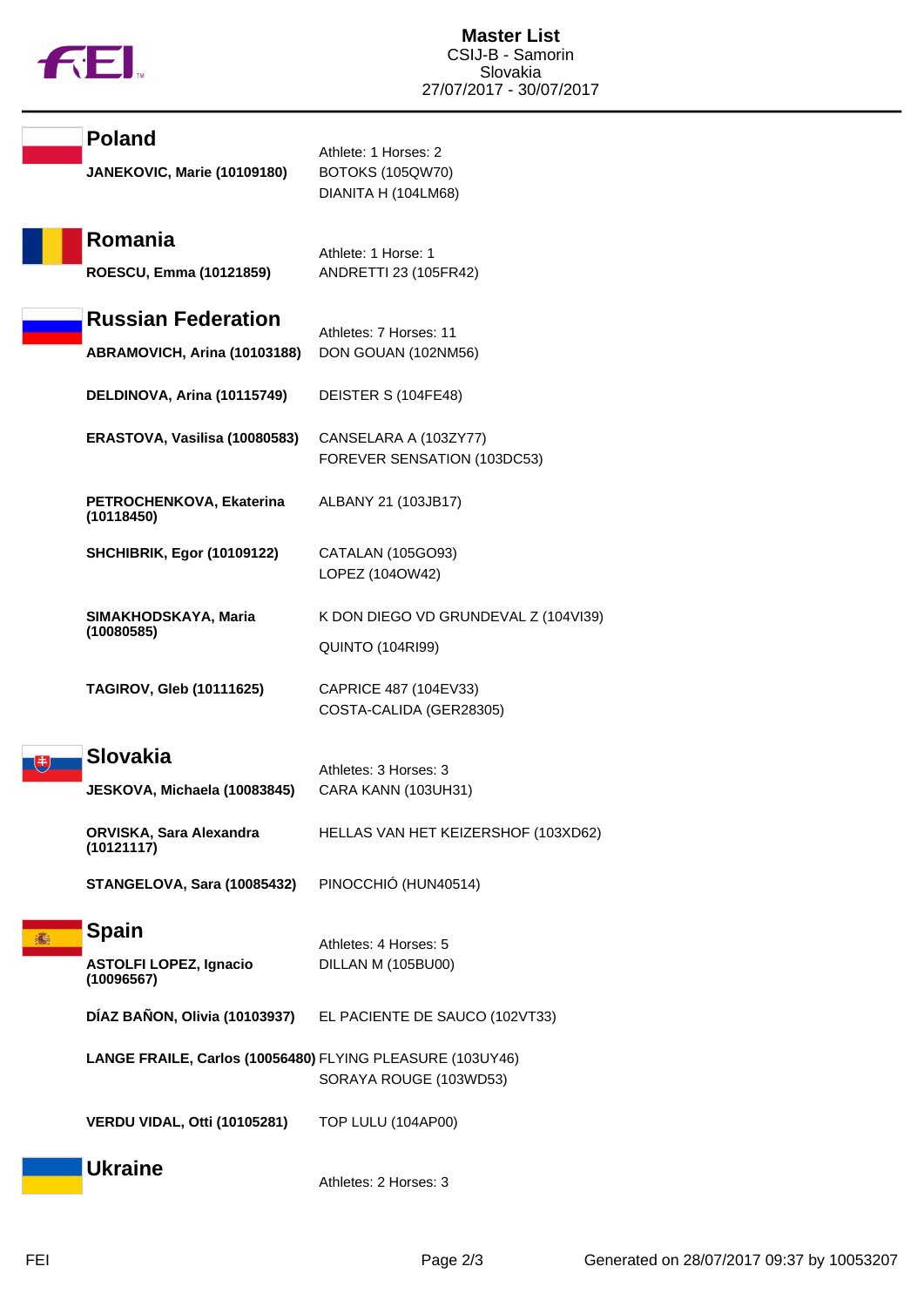

| <b>Poland</b><br>JANEKOVIC, Marie (10109180)              | Athlete: 1 Horses: 2<br><b>BOTOKS (105QW70)</b><br>DIANITA H (104LM68) |
|-----------------------------------------------------------|------------------------------------------------------------------------|
| Romania<br>ROESCU, Emma (10121859)                        | Athlete: 1 Horse: 1<br>ANDRETTI 23 (105FR42)                           |
| <b>Russian Federation</b><br>ABRAMOVICH, Arina (10103188) | Athletes: 7 Horses: 11<br>DON GOUAN (102NM56)                          |
| DELDINOVA, Arina (10115749)                               | DEISTER S (104FE48)                                                    |
| ERASTOVA, Vasilisa (10080583)                             | CANSELARA A (103ZY77)<br>FOREVER SENSATION (103DC53)                   |
| PETROCHENKOVA, Ekaterina<br>(10118450)                    | ALBANY 21 (103JB17)                                                    |
| <b>SHCHIBRIK, Egor (10109122)</b>                         | CATALAN (105GO93)<br>LOPEZ (104OW42)                                   |
| SIMAKHODSKAYA, Maria<br>(10080585)                        | K DON DIEGO VD GRUNDEVAL Z (104VI39)                                   |
|                                                           | <b>QUINTO (104RI99)</b>                                                |
| <b>TAGIROV, Gleb (10111625)</b>                           | CAPRICE 487 (104EV33)<br>COSTA-CALIDA (GER28305)                       |
| <b>Slovakia</b>                                           | Athletes: 3 Horses: 3                                                  |
| JESKOVA, Michaela (10083845)                              | CARA KANN (103UH31)                                                    |
| ORVISKA, Sara Alexandra<br>(10121117)                     | HELLAS VAN HET KEIZERSHOF (103XD62)                                    |
| STANGELOVA, Sara (10085432)                               | PINOCCHIÓ (HUN40514)                                                   |
| <b>Spain</b>                                              | Athletes: 4 Horses: 5                                                  |
| <b>ASTOLFI LOPEZ, Ignacio</b><br>(10096567)               | DILLAN M (105BU00)                                                     |
|                                                           | DÍAZ BAÑON, Olivia (10103937) EL PACIENTE DE SAUCO (102VT33)           |
| LANGE FRAILE, Carlos (10056480) FLYING PLEASURE (103UY46) | SORAYA ROUGE (103WD53)                                                 |
| VERDU VIDAL, Otti (10105281)                              | TOP LULU (104AP00)                                                     |
| <b>Ukraine</b>                                            | Athletes: 2 Horses: 3                                                  |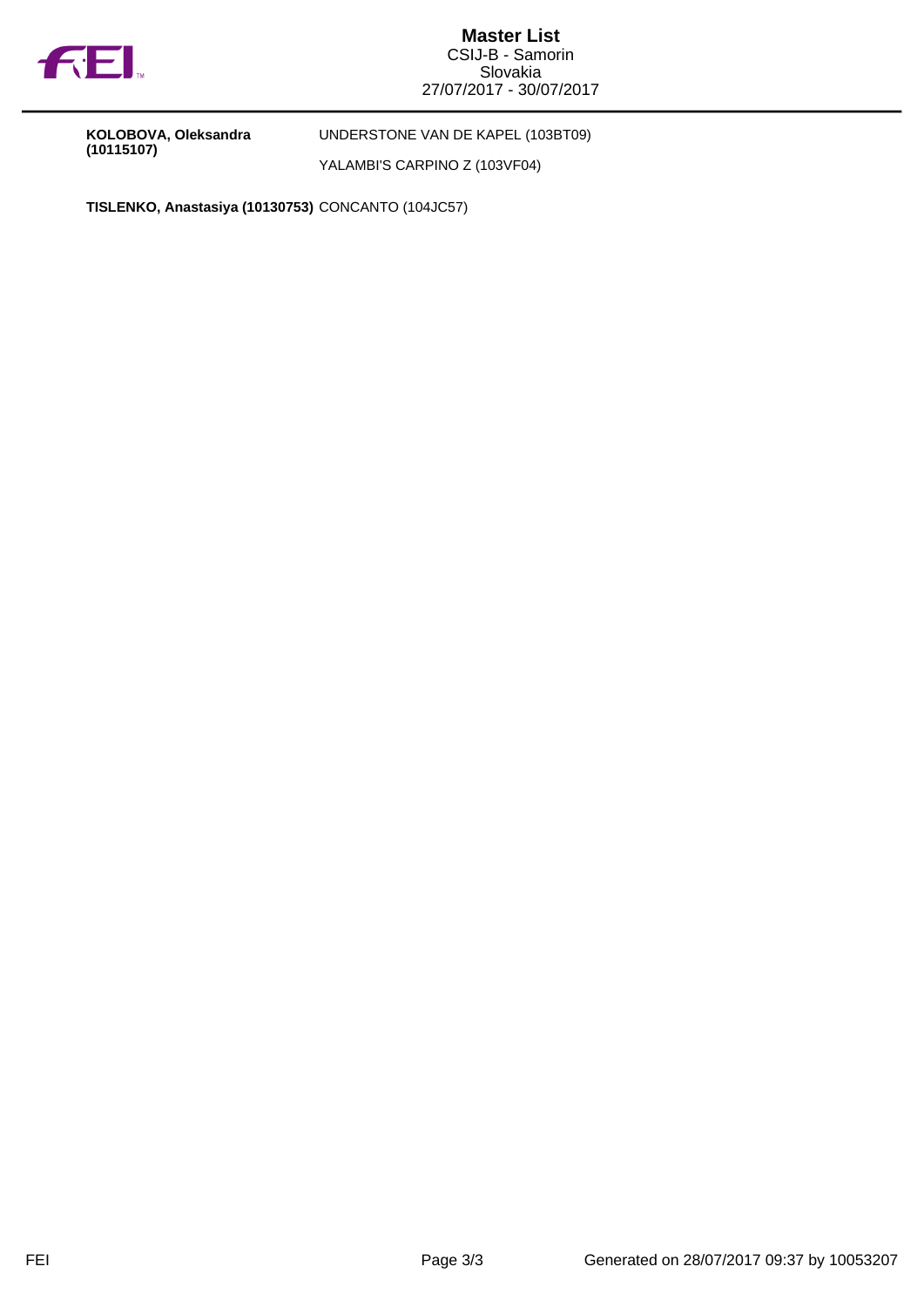

**Master List** CSIJ-B - Samorin Slovakia 27/07/2017 - 30/07/2017

**KOLOBOVA, Oleksandra (10115107)**

UNDERSTONE VAN DE KAPEL (103BT09)

YALAMBI'S CARPINO Z (103VF04)

**TISLENKO, Anastasiya (10130753)** CONCANTO (104JC57)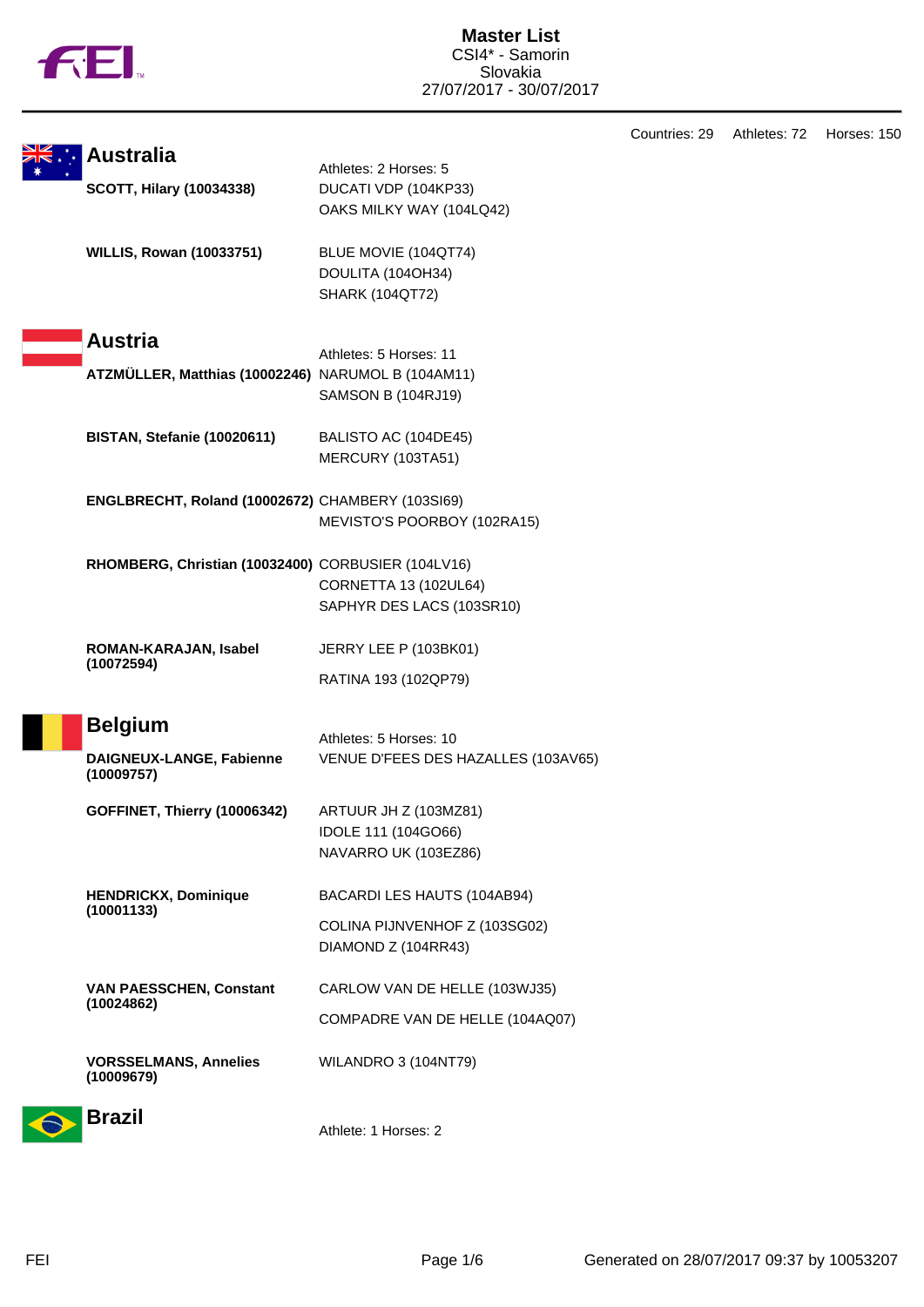

|                                                    |                                     | Countries: 29 | Athletes: 72 | Horses: 150 |
|----------------------------------------------------|-------------------------------------|---------------|--------------|-------------|
| <b>Australia</b>                                   | Athletes: 2 Horses: 5               |               |              |             |
| <b>SCOTT, Hilary (10034338)</b>                    | DUCATI VDP (104KP33)                |               |              |             |
|                                                    | OAKS MILKY WAY (104LQ42)            |               |              |             |
| <b>WILLIS, Rowan (10033751)</b>                    | BLUE MOVIE (104QT74)                |               |              |             |
|                                                    | DOULITA (104OH34)                   |               |              |             |
|                                                    | <b>SHARK (104QT72)</b>              |               |              |             |
| <b>Austria</b>                                     |                                     |               |              |             |
|                                                    | Athletes: 5 Horses: 11              |               |              |             |
| ATZMÜLLER, Matthias (10002246) NARUMOL B (104AM11) |                                     |               |              |             |
|                                                    | <b>SAMSON B (104RJ19)</b>           |               |              |             |
| BISTAN, Stefanie (10020611)                        | BALISTO AC (104DE45)                |               |              |             |
|                                                    | MERCURY (103TA51)                   |               |              |             |
| ENGLBRECHT, Roland (10002672) CHAMBERY (103SI69)   |                                     |               |              |             |
|                                                    | MEVISTO'S POORBOY (102RA15)         |               |              |             |
| RHOMBERG, Christian (10032400) CORBUSIER (104LV16) |                                     |               |              |             |
|                                                    | CORNETTA 13 (102UL64)               |               |              |             |
|                                                    | SAPHYR DES LACS (103SR10)           |               |              |             |
| ROMAN-KARAJAN, Isabel                              | JERRY LEE P (103BK01)               |               |              |             |
| (10072594)                                         | RATINA 193 (102QP79)                |               |              |             |
| <b>Belgium</b>                                     |                                     |               |              |             |
|                                                    | Athletes: 5 Horses: 10              |               |              |             |
| DAIGNEUX-LANGE, Fabienne<br>(10009757)             | VENUE D'FEES DES HAZALLES (103AV65) |               |              |             |
| GOFFINET, Thierry (10006342)                       | ARTUUR JH Z (103MZ81)               |               |              |             |
|                                                    | IDOLE 111 (104GO66)                 |               |              |             |
|                                                    | NAVARRO UK (103EZ86)                |               |              |             |
| <b>HENDRICKX, Dominique</b>                        | BACARDI LES HAUTS (104AB94)         |               |              |             |
| (10001133)                                         | COLINA PIJNVENHOF Z (103SG02)       |               |              |             |
|                                                    | DIAMOND Z (104RR43)                 |               |              |             |
| <b>VAN PAESSCHEN, Constant</b>                     | CARLOW VAN DE HELLE (103WJ35)       |               |              |             |
| (10024862)                                         | COMPADRE VAN DE HELLE (104AQ07)     |               |              |             |
|                                                    |                                     |               |              |             |
| <b>VORSSELMANS, Annelies</b><br>(10009679)         | WILANDRO 3 (104NT79)                |               |              |             |
| <b>Brazil</b>                                      |                                     |               |              |             |
|                                                    |                                     |               |              |             |



 $\rightarrow$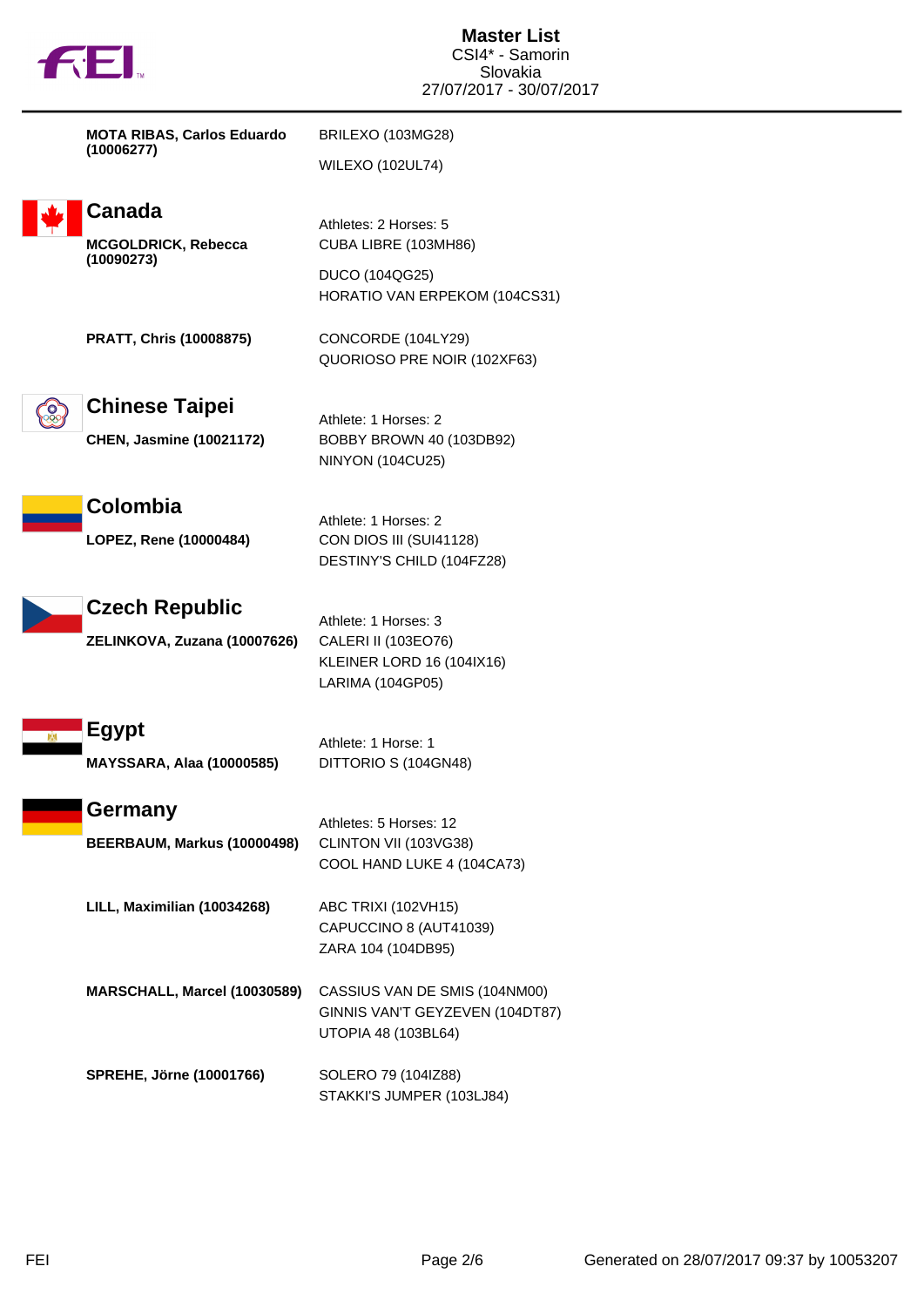

| <b>MOTA RIBAS, Carlos Eduardo</b> | BRILEXO (103MG28)       |  |  |
|-----------------------------------|-------------------------|--|--|
| (10006277)                        | <b>WILEXO (102UL74)</b> |  |  |



## **Canada**

**MCGOLDRICK, Rebecca (10090273)**

Athletes: 2 Horses: 5 CUBA LIBRE (103MH86)

DUCO (104QG25) HORATIO VAN ERPEKOM (104CS31)

**PRATT, Chris (10008875)** CONCORDE (104LY29)

QUORIOSO PRE NOIR (102XF63)



**Chinese Taipei**

Athlete: 1 Horses: 2 **CHEN, Jasmine (10021172)** BOBBY BROWN 40 (103DB92) NINYON (104CU25)

Athlete: 1 Horses: 2



**LOPEZ, Rene (10000484)** CON DIOS III (SUI41128)

**Czech Republic**

**ZELINKOVA, Zuzana (10007626)** CALERI II (103EO76)

Athlete: 1 Horses: 3 KLEINER LORD 16 (104IX16) LARIMA (104GP05)

DESTINY'S CHILD (104FZ28)



## **Germany**

Athletes: 5 Horses: 12 **BEERBAUM, Markus (10000498)** CLINTON VII (103VG38) COOL HAND LUKE 4 (104CA73)

**LILL, Maximilian (10034268)** ABC TRIXI (102VH15) CAPUCCINO 8 (AUT41039) ZARA 104 (104DB95)

**MARSCHALL, Marcel (10030589)** CASSIUS VAN DE SMIS (104NM00) GINNIS VAN'T GEYZEVEN (104DT87) UTOPIA 48 (103BL64)

**SPREHE, Jörne (10001766)** SOLERO 79 (104IZ88) STAKKI'S JUMPER (103LJ84)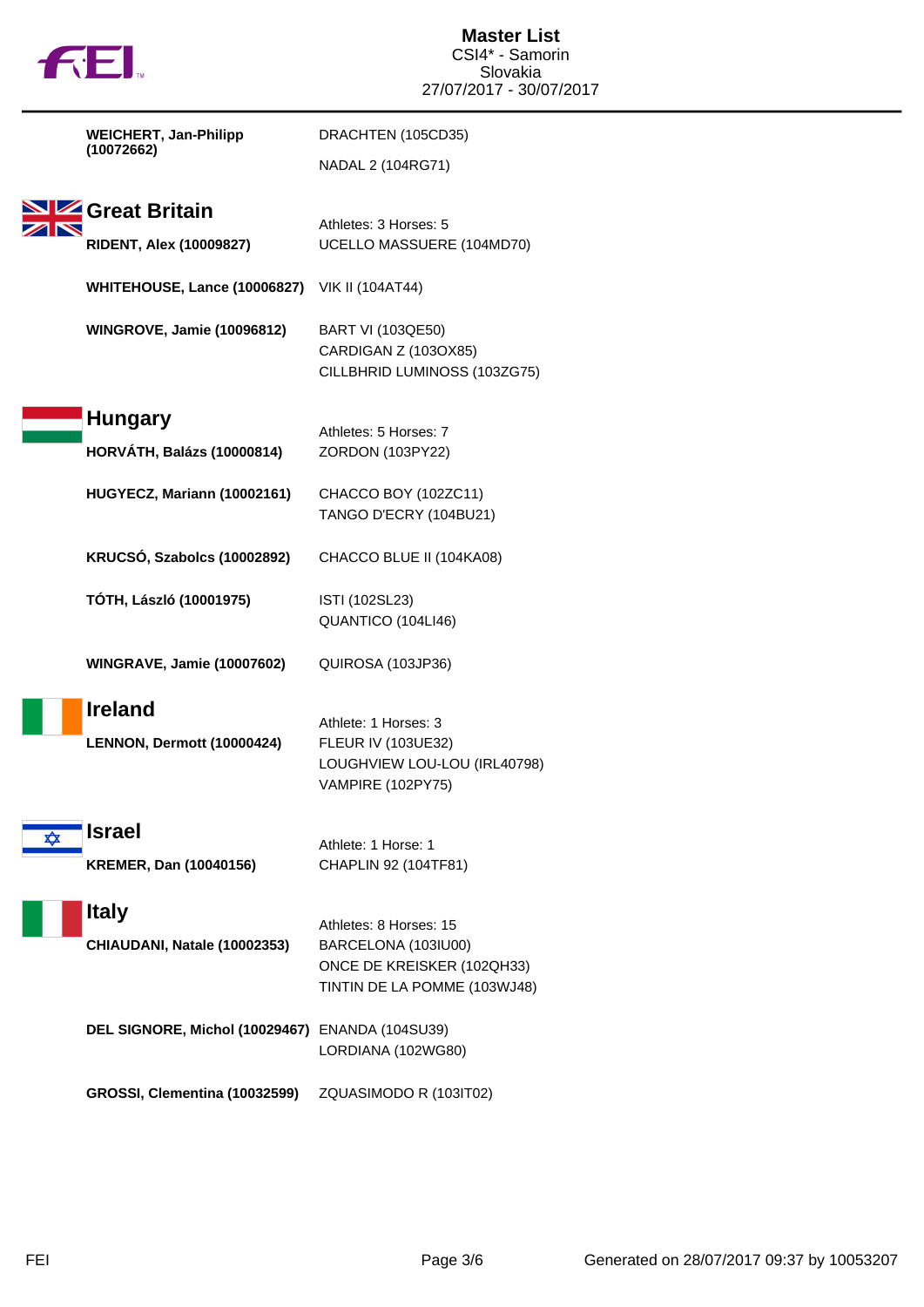|   | 七七                                                   | <b>Master List</b><br>CSI4* - Samorin<br>Slovakia<br>27/07/2017 - 30/07/2017                                |
|---|------------------------------------------------------|-------------------------------------------------------------------------------------------------------------|
|   | <b>WEICHERT, Jan-Philipp</b>                         | DRACHTEN (105CD35)                                                                                          |
|   | (10072662)                                           | NADAL 2 (104RG71)                                                                                           |
|   | Great Britain<br><b>RIDENT, Alex (10009827)</b>      | Athletes: 3 Horses: 5<br>UCELLO MASSUERE (104MD70)                                                          |
|   | <b>WHITEHOUSE, Lance (10006827)</b> VIK II (104AT44) |                                                                                                             |
|   | <b>WINGROVE, Jamie (10096812)</b>                    | <b>BART VI (103QE50)</b><br>CARDIGAN Z (103OX85)<br>CILLBHRID LUMINOSS (103ZG75)                            |
|   | <b>Hungary</b><br><b>HORVÁTH, Balázs (10000814)</b>  | Athletes: 5 Horses: 7<br>ZORDON (103PY22)                                                                   |
|   | HUGYECZ, Mariann (10002161)                          | CHACCO BOY (102ZC11)<br>TANGO D'ECRY (104BU21)                                                              |
|   | KRUCSÓ, Szabolcs (10002892)                          | CHACCO BLUE II (104KA08)                                                                                    |
|   | TÓTH, László (10001975)                              | ISTI (102SL23)<br>QUANTICO (104LI46)                                                                        |
|   | <b>WINGRAVE, Jamie (10007602)</b>                    | QUIROSA (103JP36)                                                                                           |
|   | <b>Ireland</b><br>LENNON, Dermott (10000424)         | Athlete: 1 Horses: 3<br><b>FLEUR IV (103UE32)</b><br>LOUGHVIEW LOU-LOU (IRL40798)<br>VAMPIRE (102PY75)      |
| ✿ | <b>Israel</b><br><b>KREMER, Dan (10040156)</b>       | Athlete: 1 Horse: 1<br>CHAPLIN 92 (104TF81)                                                                 |
|   | <b>Italy</b><br>CHIAUDANI, Natale (10002353)         | Athletes: 8 Horses: 15<br>BARCELONA (103IU00)<br>ONCE DE KREISKER (102QH33)<br>TINTIN DE LA POMME (103WJ48) |
|   | DEL SIGNORE, Michol (10029467) ENANDA (104SU39)      | LORDIANA (102WG80)                                                                                          |
|   | GROSSI, Clementina (10032599)                        | ZQUASIMODO R (103IT02)                                                                                      |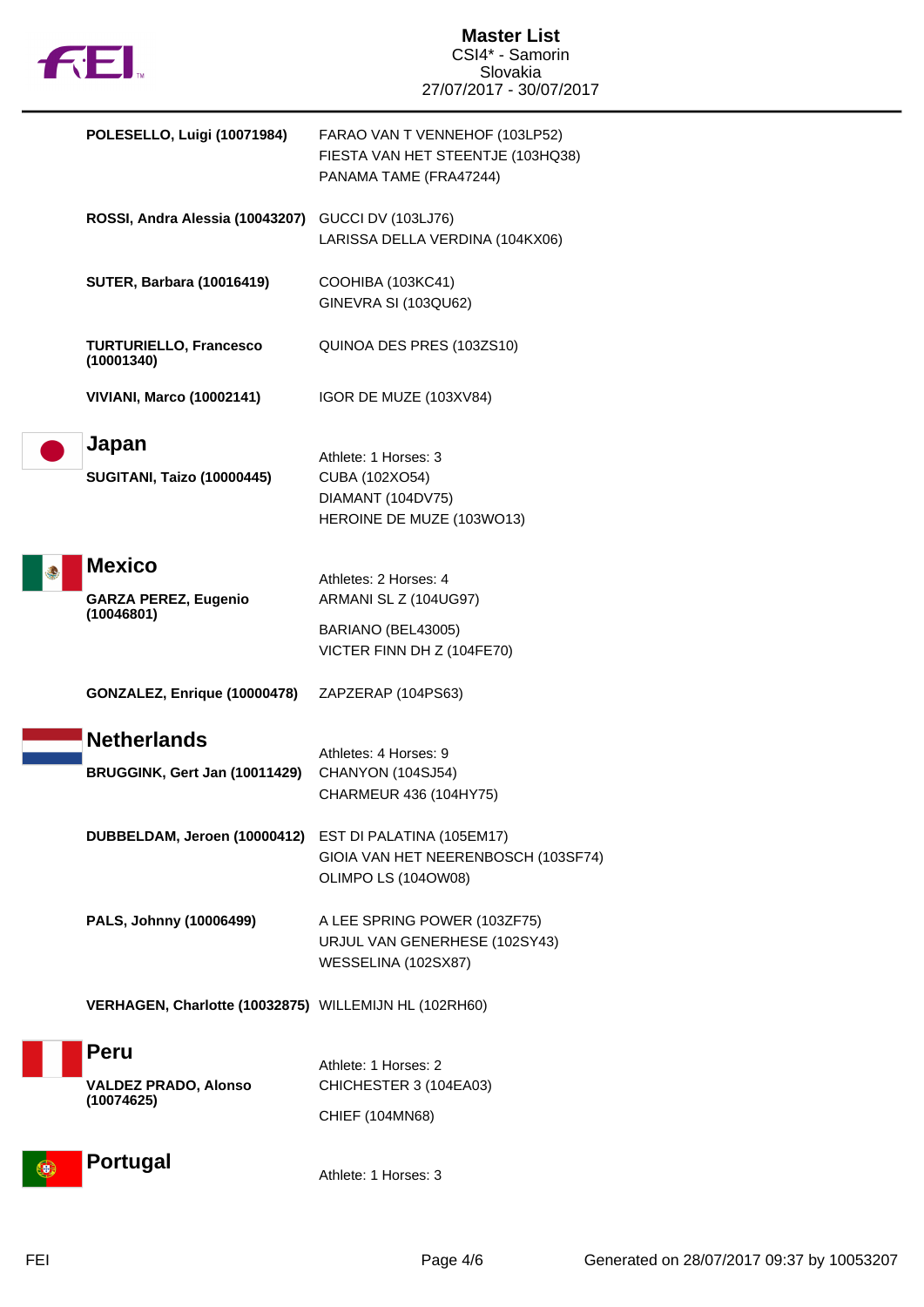

| POLESELLO, Luigi (10071984)                                | FARAO VAN T VENNEHOF (103LP52)<br>FIESTA VAN HET STEENTJE (103HQ38)<br>PANAMA TAME (FRA47244)      |
|------------------------------------------------------------|----------------------------------------------------------------------------------------------------|
| ROSSI, Andra Alessia (10043207)                            | <b>GUCCI DV (103LJ76)</b><br>LARISSA DELLA VERDINA (104KX06)                                       |
| <b>SUTER, Barbara (10016419)</b>                           | COOHIBA (103KC41)<br>GINEVRA SI (103QU62)                                                          |
| <b>TURTURIELLO, Francesco</b><br>(10001340)                | QUINOA DES PRES (103ZS10)                                                                          |
| <b>VIVIANI, Marco (10002141)</b>                           | IGOR DE MUZE (103XV84)                                                                             |
| Japan<br><b>SUGITANI, Taizo (10000445)</b>                 | Athlete: 1 Horses: 3<br>CUBA (102XO54)<br>DIAMANT (104DV75)<br>HEROINE DE MUZE (103WO13)           |
| <b>Mexico</b><br><b>GARZA PEREZ, Eugenio</b><br>(10046801) | Athletes: 2 Horses: 4<br>ARMANI SL Z (104UG97)<br>BARIANO (BEL43005)<br>VICTER FINN DH Z (104FE70) |
| GONZALEZ, Enrique (10000478)                               | ZAPZERAP (104PS63)                                                                                 |
| <b>Netherlands</b><br>BRUGGINK, Gert Jan (10011429)        | Athletes: 4 Horses: 9<br>CHANYON (104SJ54)<br>CHARMEUR 436 (104HY75)                               |
| DUBBELDAM, Jeroen (10000412) EST DI PALATINA (105EM17)     | GIOIA VAN HET NEERENBOSCH (103SF74)<br>OLIMPO LS (104OW08)                                         |
| PALS, Johnny (10006499)                                    | A LEE SPRING POWER (103ZF75)<br>URJUL VAN GENERHESE (102SY43)<br>WESSELINA (102SX87)               |
| VERHAGEN, Charlotte (10032875) WILLEMIJN HL (102RH60)      |                                                                                                    |
| <b>Peru</b><br><b>VALDEZ PRADO, Alonso</b><br>(10074625)   | Athlete: 1 Horses: 2<br>CHICHESTER 3 (104EA03)<br>CHIEF (104MN68)                                  |
| <b>Portugal</b>                                            | Athlete: 1 Horses: 3                                                                               |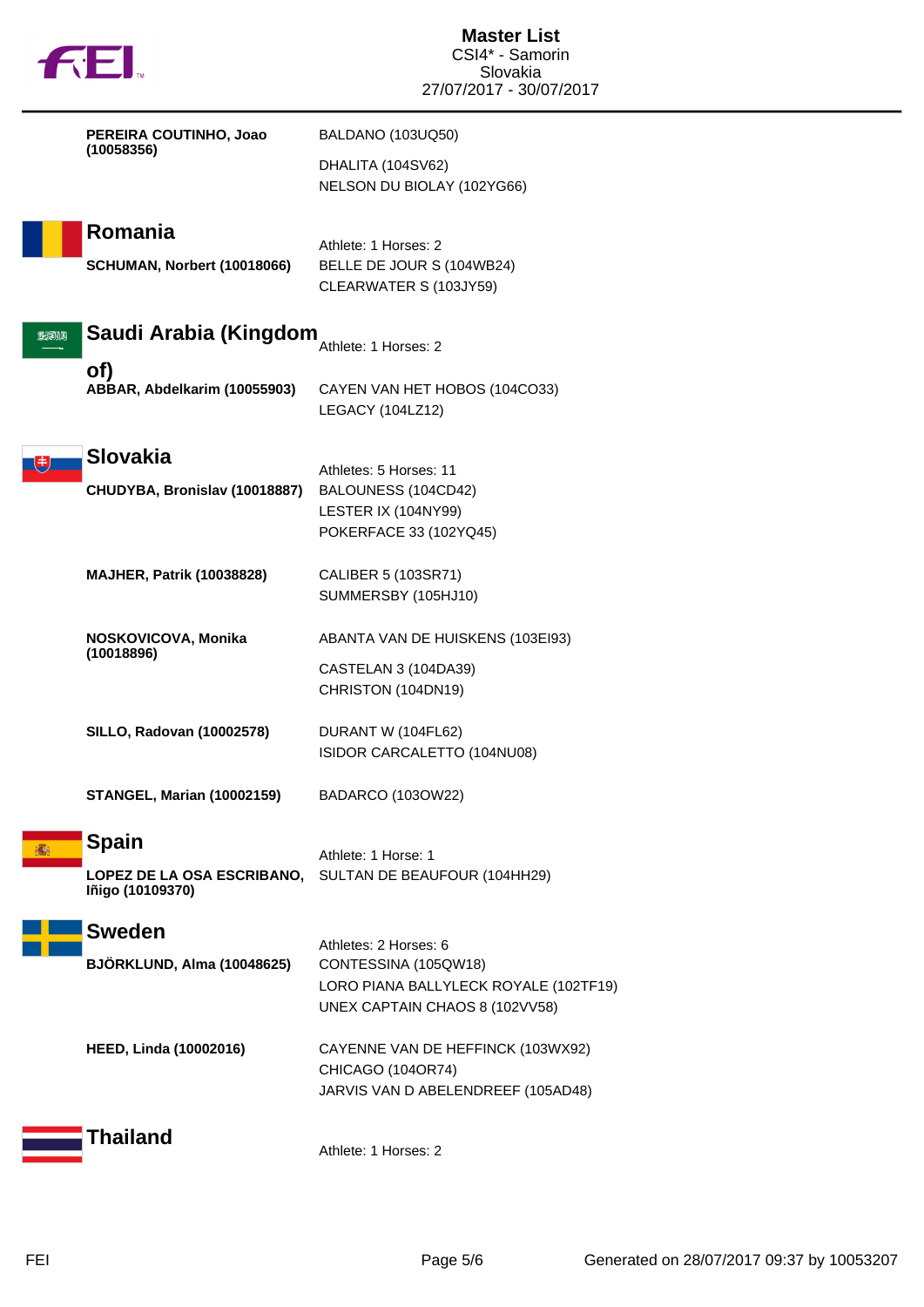|  | <b>TM</b> |
|--|-----------|

|          | PEREIRA COUTINHO, Joao<br>(10058356)                                  | BALDANO (103UQ50)<br>DHALITA (104SV62)<br>NELSON DU BIOLAY (102YG66)                                                     |
|----------|-----------------------------------------------------------------------|--------------------------------------------------------------------------------------------------------------------------|
|          | Romania<br>SCHUMAN, Norbert (10018066)                                | Athlete: 1 Horses: 2<br>BELLE DE JOUR S (104WB24)<br>CLEARWATER S (103JY59)                                              |
| التلاحين | Saudi Arabia (Kingdom                                                 | Athlete: 1 Horses: 2                                                                                                     |
|          | of)<br>ABBAR, Abdelkarim (10055903)                                   | CAYEN VAN HET HOBOS (104CO33)<br>LEGACY (104LZ12)                                                                        |
|          | <b>Slovakia</b><br>CHUDYBA, Bronislav (10018887)                      | Athletes: 5 Horses: 11<br>BALOUNESS (104CD42)<br>LESTER IX (104NY99)<br>POKERFACE 33 (102YQ45)                           |
|          | <b>MAJHER, Patrik (10038828)</b>                                      | CALIBER 5 (103SR71)<br>SUMMERSBY (105HJ10)                                                                               |
|          | NOSKOVICOVA, Monika<br>(10018896)                                     | ABANTA VAN DE HUISKENS (103EI93)<br>CASTELAN 3 (104DA39)<br>CHRISTON (104DN19)                                           |
|          | <b>SILLO, Radovan (10002578)</b>                                      | DURANT W (104FL62)<br>ISIDOR CARCALETTO (104NU08)                                                                        |
|          | <b>STANGEL, Marian (10002159)</b>                                     | BADARCO (103OW22)                                                                                                        |
|          | <b>Spain</b><br><b>LOPEZ DE LA OSA ESCRIBANO,</b><br>Iñigo (10109370) | Athlete: 1 Horse: 1<br>SULTAN DE BEAUFOUR (104HH29)                                                                      |
|          | <b>Sweden</b><br><b>BJÖRKLUND, Alma (10048625)</b>                    | Athletes: 2 Horses: 6<br>CONTESSINA (105QW18)<br>LORO PIANA BALLYLECK ROYALE (102TF19)<br>UNEX CAPTAIN CHAOS 8 (102VV58) |
|          | <b>HEED, Linda (10002016)</b>                                         | CAYENNE VAN DE HEFFINCK (103WX92)<br>CHICAGO (104OR74)<br>JARVIS VAN D ABELENDREEF (105AD48)                             |
|          | Thailand                                                              | Athlete: 1 Horses: 2                                                                                                     |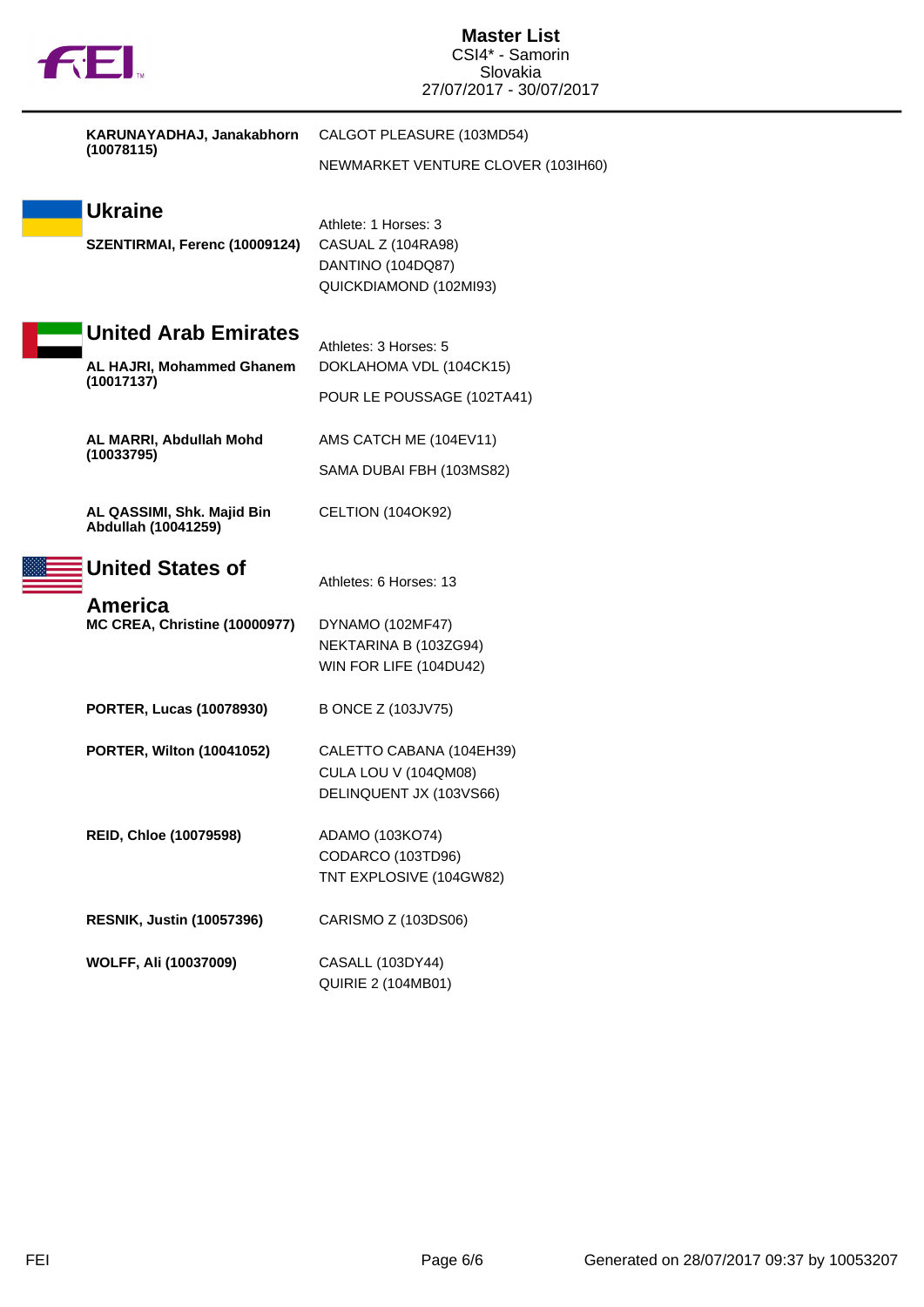

|  | KARUNAYADHAJ, Janakabhorn<br>(10078115)                  | CALGOT PLEASURE (103MD54)                                                                 |  |  |
|--|----------------------------------------------------------|-------------------------------------------------------------------------------------------|--|--|
|  |                                                          | NEWMARKET VENTURE CLOVER (103IH60)                                                        |  |  |
|  | <b>Ukraine</b><br>SZENTIRMAI, Ferenc (10009124)          | Athlete: 1 Horses: 3<br>CASUAL Z (104RA98)<br>DANTINO (104DQ87)<br>QUICKDIAMOND (102MI93) |  |  |
|  | <b>United Arab Emirates</b><br>AL HAJRI, Mohammed Ghanem | Athletes: 3 Horses: 5<br>DOKLAHOMA VDL (104CK15)                                          |  |  |
|  | (10017137)                                               | POUR LE POUSSAGE (102TA41)                                                                |  |  |
|  | AL MARRI, Abdullah Mohd<br>(10033795)                    | AMS CATCH ME (104EV11)<br>SAMA DUBAI FBH (103MS82)                                        |  |  |
|  | AL QASSIMI, Shk. Majid Bin<br>Abdullah (10041259)        | CELTION (104OK92)                                                                         |  |  |
|  | <b>United States of</b>                                  | Athletes: 6 Horses: 13                                                                    |  |  |
|  | <b>America</b><br><b>MC CREA, Christine (10000977)</b>   | DYNAMO (102MF47)<br>NEKTARINA B (103ZG94)<br>WIN FOR LIFE (104DU42)                       |  |  |
|  | <b>PORTER, Lucas (10078930)</b>                          | B ONCE Z (103JV75)                                                                        |  |  |
|  | <b>PORTER, Wilton (10041052)</b>                         | CALETTO CABANA (104EH39)<br>CULA LOU V (104QM08)<br>DELINQUENT JX (103VS66)               |  |  |
|  | <b>REID, Chloe (10079598)</b>                            | ADAMO (103KO74)<br>CODARCO (103TD96)<br>TNT EXPLOSIVE (104GW82)                           |  |  |
|  | <b>RESNIK, Justin (10057396)</b>                         | CARISMO Z (103DS06)                                                                       |  |  |
|  | <b>WOLFF, Ali (10037009)</b>                             | CASALL (103DY44)<br><b>QUIRIE 2 (104MB01)</b>                                             |  |  |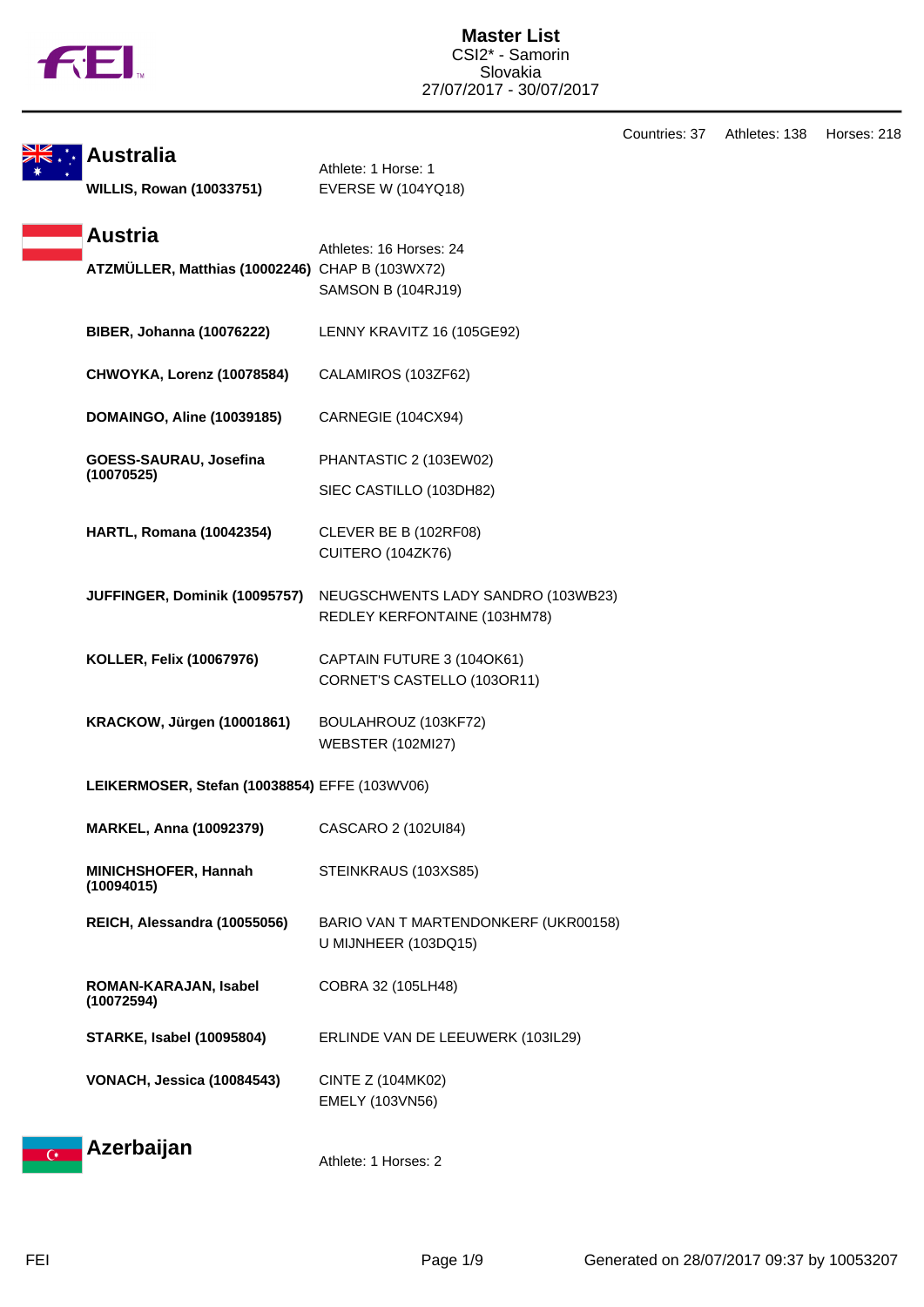

|                                                     |                                                                    | Countries: 37 | Athletes: 138 | Horses: 218 |
|-----------------------------------------------------|--------------------------------------------------------------------|---------------|---------------|-------------|
| <b>Australia</b><br><b>WILLIS, Rowan (10033751)</b> | Athlete: 1 Horse: 1<br><b>EVERSE W (104YQ18)</b>                   |               |               |             |
| <b>Austria</b>                                      |                                                                    |               |               |             |
| ATZMÜLLER, Matthias (10002246) CHAP B (103WX72)     | Athletes: 16 Horses: 24<br>SAMSON B (104RJ19)                      |               |               |             |
| <b>BIBER, Johanna (10076222)</b>                    | LENNY KRAVITZ 16 (105GE92)                                         |               |               |             |
| CHWOYKA, Lorenz (10078584)                          | CALAMIROS (103ZF62)                                                |               |               |             |
| <b>DOMAINGO, Aline (10039185)</b>                   | CARNEGIE (104CX94)                                                 |               |               |             |
| GOESS-SAURAU, Josefina<br>(10070525)                | PHANTASTIC 2 (103EW02)                                             |               |               |             |
|                                                     | SIEC CASTILLO (103DH82)                                            |               |               |             |
| <b>HARTL, Romana (10042354)</b>                     | CLEVER BE B (102RF08)<br>CUITERO (104ZK76)                         |               |               |             |
| JUFFINGER, Dominik (10095757)                       | NEUGSCHWENTS LADY SANDRO (103WB23)<br>REDLEY KERFONTAINE (103HM78) |               |               |             |
| KOLLER, Felix (10067976)                            | CAPTAIN FUTURE 3 (104OK61)<br>CORNET'S CASTELLO (103OR11)          |               |               |             |
| KRACKOW, Jürgen (10001861)                          | BOULAHROUZ (103KF72)<br><b>WEBSTER (102MI27)</b>                   |               |               |             |
| LEIKERMOSER, Stefan (10038854) EFFE (103WV06)       |                                                                    |               |               |             |
| <b>MARKEL, Anna (10092379)</b>                      | CASCARO 2 (102UI84)                                                |               |               |             |
| MINICHSHOFER, Hannah<br>(10094015)                  | STEINKRAUS (103XS85)                                               |               |               |             |
| REICH, Alessandra (10055056)                        | BARIO VAN T MARTENDONKERF (UKR00158)<br>U MIJNHEER (103DQ15)       |               |               |             |
| ROMAN-KARAJAN, Isabel<br>(10072594)                 | COBRA 32 (105LH48)                                                 |               |               |             |
| <b>STARKE, Isabel (10095804)</b>                    | ERLINDE VAN DE LEEUWERK (103IL29)                                  |               |               |             |
| VONACH, Jessica (10084543)                          | CINTE Z (104MK02)<br>EMELY (103VN56)                               |               |               |             |
| Azerbaijan                                          | $\overline{A}$ ileves                                              |               |               |             |



 $\overline{C}$ 

Athlete: 1 Horses: 2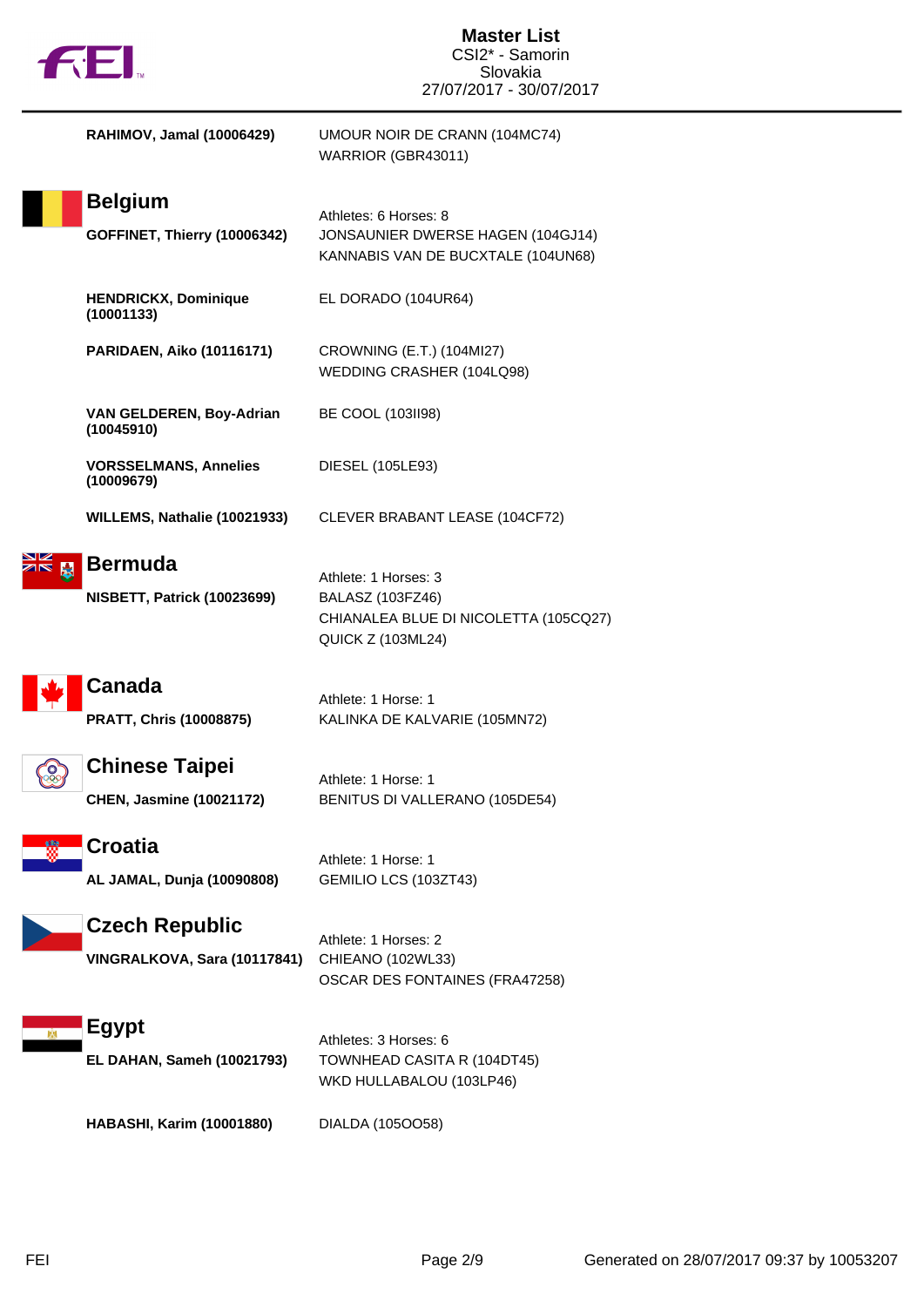| <b>132.</b>                                               | <b>Master List</b><br>CSI2* - Samorin<br>Slovakia<br>27/07/2017 - 30/07/2017                                  |
|-----------------------------------------------------------|---------------------------------------------------------------------------------------------------------------|
| RAHIMOV, Jamal (10006429)                                 | UMOUR NOIR DE CRANN (104MC74)<br>WARRIOR (GBR43011)                                                           |
| <b>Belgium</b><br>GOFFINET, Thierry (10006342)            | Athletes: 6 Horses: 8<br>JONSAUNIER DWERSE HAGEN (104GJ14)<br>KANNABIS VAN DE BUCXTALE (104UN68)              |
| <b>HENDRICKX, Dominique</b><br>(10001133)                 | EL DORADO (104UR64)                                                                                           |
| <b>PARIDAEN, Aiko (10116171)</b>                          | CROWNING (E.T.) (104MI27)<br>WEDDING CRASHER (104LQ98)                                                        |
| VAN GELDEREN, Boy-Adrian<br>(10045910)                    | BE COOL (103ll98)                                                                                             |
| <b>VORSSELMANS, Annelies</b><br>(10009679)                | DIESEL (105LE93)                                                                                              |
| WILLEMS, Nathalie (10021933)                              | CLEVER BRABANT LEASE (104CF72)                                                                                |
| <b>Bermuda</b><br>٨<br><b>NISBETT, Patrick (10023699)</b> | Athlete: 1 Horses: 3<br>BALASZ (103FZ46)<br>CHIANALEA BLUE DI NICOLETTA (105CQ27)<br><b>QUICK Z (103ML24)</b> |
| Canada<br>PRATT, Chris (10008875)                         | Athlete: 1 Horse: 1<br>KALINKA DE KALVARIE (105MN72)                                                          |
| <b>Chinese Taipei</b><br><b>CHEN, Jasmine (10021172)</b>  | Athlete: 1 Horse: 1<br>BENITUS DI VALLERANO (105DE54)                                                         |
| <b>Croatia</b><br>AL JAMAL, Dunja (10090808)              | Athlete: 1 Horse: 1<br>GEMILIO LCS (103ZT43)                                                                  |
| <b>Czech Republic</b><br>VINGRALKOVA, Sara (10117841)     | Athlete: 1 Horses: 2<br>CHIEANO (102WL33)<br>OSCAR DES FONTAINES (FRA47258)                                   |
| <b>Egypt</b><br>EL DAHAN, Sameh (10021793)                | Athletes: 3 Horses: 6<br>TOWNHEAD CASITA R (104DT45)<br>WKD HULLABALOU (103LP46)                              |
| <b>HABASHI, Karim (10001880)</b>                          | DIALDA (105OO58)                                                                                              |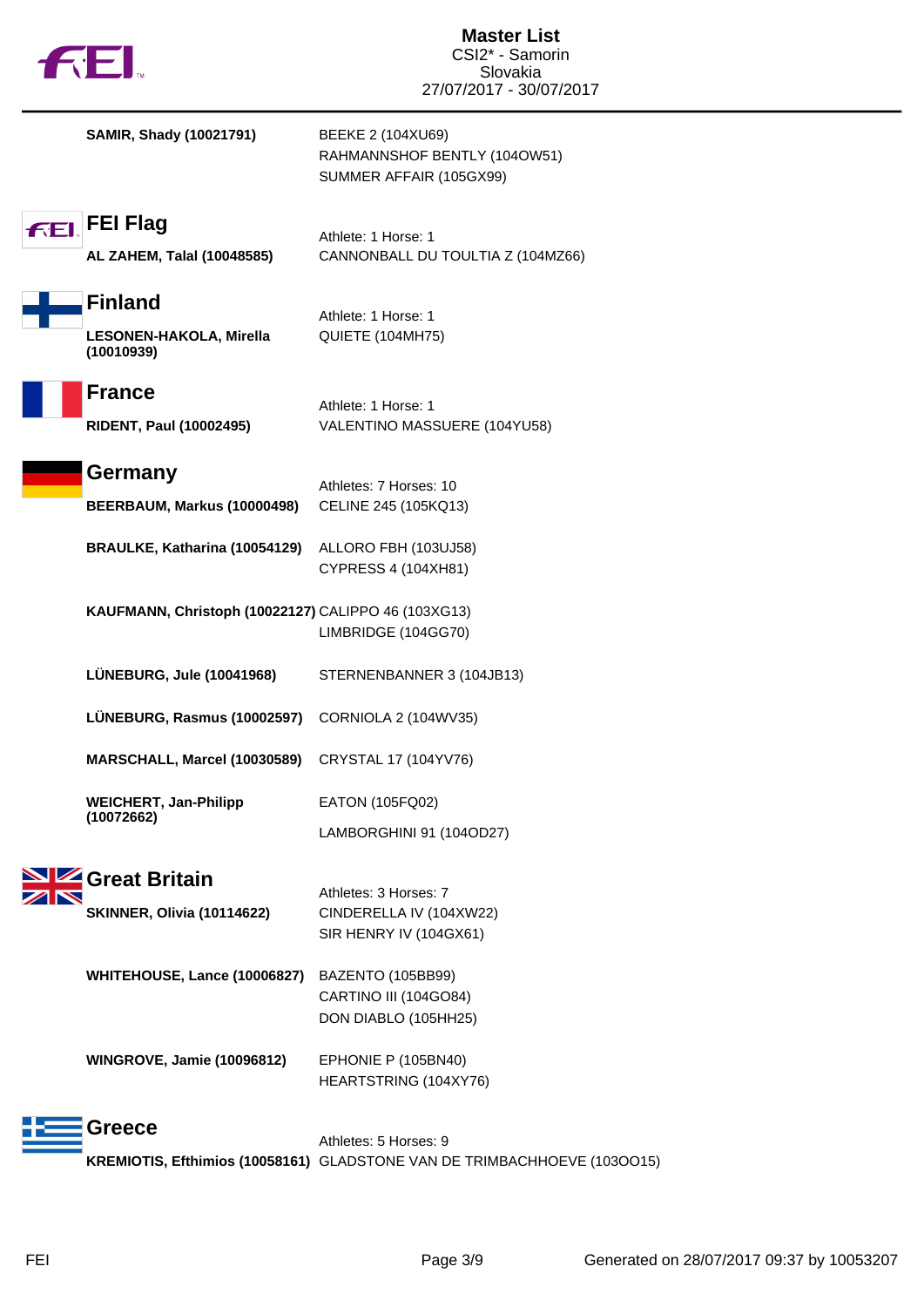|                | <b>FEI</b>                                                    | <b>Master List</b><br>CSI2* - Samorin<br>Slovakia<br>27/07/2017 - 30/07/2017 |
|----------------|---------------------------------------------------------------|------------------------------------------------------------------------------|
|                | <b>SAMIR, Shady (10021791)</b>                                | BEEKE 2 (104XU69)<br>RAHMANNSHOF BENTLY (104OW51)<br>SUMMER AFFAIR (105GX99) |
| F <sub>F</sub> | <b>FEI Flag</b><br>AL ZAHEM, Talal (10048585)                 | Athlete: 1 Horse: 1<br>CANNONBALL DU TOULTIA Z (104MZ66)                     |
|                | <b>Finland</b><br>LESONEN-HAKOLA, Mirella<br>(10010939)       | Athlete: 1 Horse: 1<br>QUIETE (104MH75)                                      |
|                | <b>France</b><br>RIDENT, Paul (10002495)                      | Athlete: 1 Horse: 1<br>VALENTINO MASSUERE (104YU58)                          |
|                | Germany<br>BEERBAUM, Markus (10000498)                        | Athletes: 7 Horses: 10<br>CELINE 245 (105KQ13)                               |
|                | BRAULKE, Katharina (10054129)                                 | ALLORO FBH (103UJ58)<br>CYPRESS 4 (104XH81)                                  |
|                | KAUFMANN, Christoph (10022127) CALIPPO 46 (103XG13)           | LIMBRIDGE (104GG70)                                                          |
|                | LÜNEBURG, Jule (10041968)                                     | STERNENBANNER 3 (104JB13)                                                    |
|                | LÜNEBURG, Rasmus (10002597) CORNIOLA 2 (104WV35)              |                                                                              |
|                | MARSCHALL, Marcel (10030589)                                  | CRYSTAL 17 (104YV76)                                                         |
|                | <b>WEICHERT, Jan-Philipp</b><br>(10072662)                    | EATON (105FQ02)                                                              |
|                |                                                               | LAMBORGHINI 91 (104OD27)                                                     |
|                | <b>SIZ</b> Great Britain<br><b>SKINNER, Olivia (10114622)</b> | Athletes: 3 Horses: 7<br>CINDERELLA IV (104XW22)<br>SIR HENRY IV (104GX61)   |
|                | WHITEHOUSE, Lance (10006827)                                  | BAZENTO (105BB99)<br>CARTINO III (104GO84)<br>DON DIABLO (105HH25)           |
|                | <b>WINGROVE, Jamie (10096812)</b>                             | EPHONIE P (105BN40)<br>HEARTSTRING (104XY76)                                 |
|                | <b>Greece</b>                                                 | Athletes: 5 Horses: 9                                                        |
|                |                                                               | KREMIOTIS, Efthimios (10058161) GLADSTONE VAN DE TRIMBACHHOEVE (1030015)     |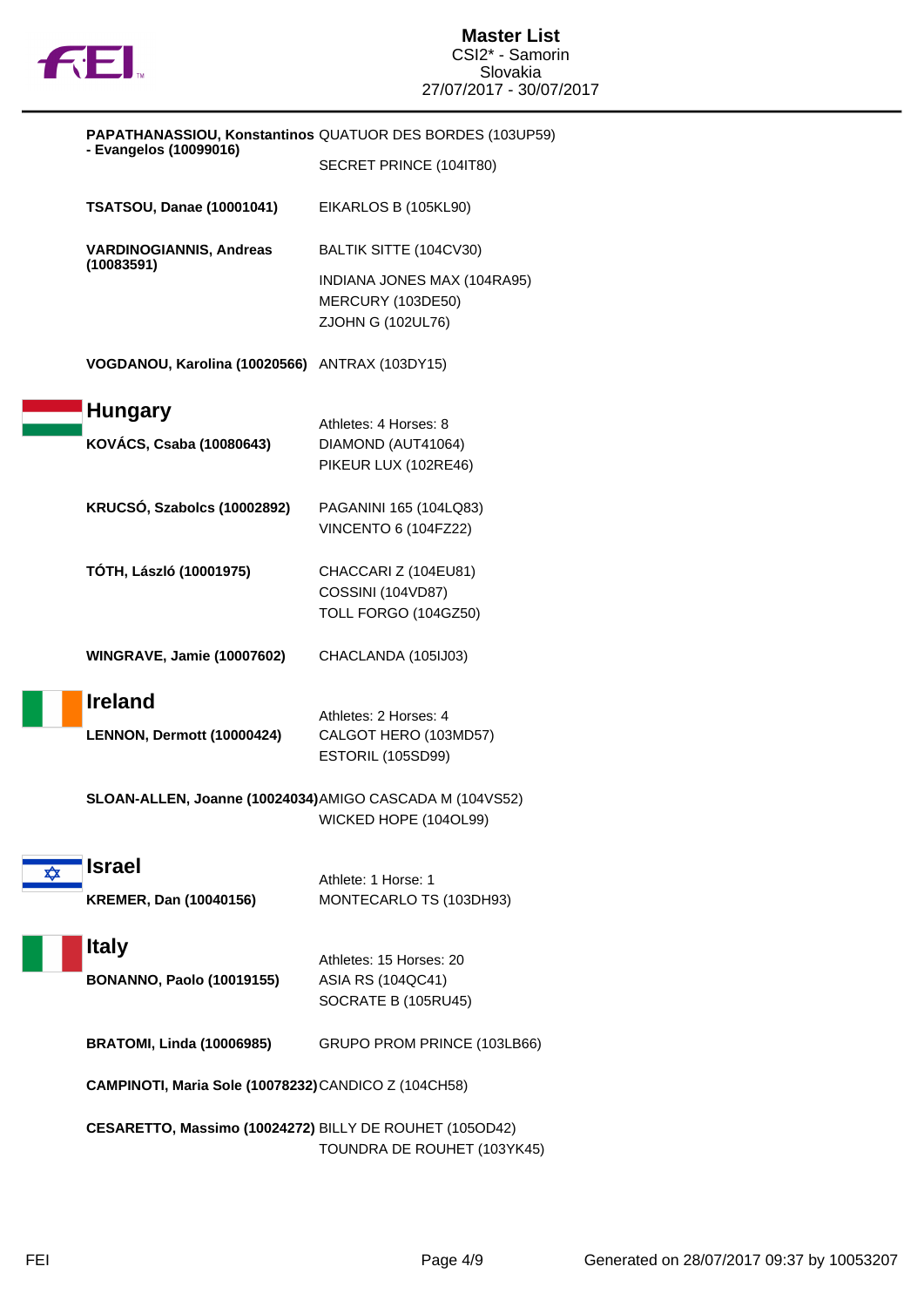

|            |                                                          | PAPATHANASSIOU, Konstantinos QUATUOR DES BORDES (103UP59)             |
|------------|----------------------------------------------------------|-----------------------------------------------------------------------|
|            | - Evangelos (10099016)                                   | SECRET PRINCE (104IT80)                                               |
|            | <b>TSATSOU, Danae (10001041)</b>                         | EIKARLOS B (105KL90)                                                  |
|            | <b>VARDINOGIANNIS, Andreas</b><br>(10083591)             | BALTIK SITTE (104CV30)                                                |
|            |                                                          | INDIANA JONES MAX (104RA95)<br>MERCURY (103DE50)<br>ZJOHN G (102UL76) |
|            | VOGDANOU, Karolina (10020566) ANTRAX (103DY15)           |                                                                       |
|            | <b>Hungary</b>                                           | Athletes: 4 Horses: 8                                                 |
|            | KOVÁCS, Csaba (10080643)                                 | DIAMOND (AUT41064)<br>PIKEUR LUX (102RE46)                            |
|            | KRUCSÓ, Szabolcs (10002892)                              | PAGANINI 165 (104LQ83)<br>VINCENTO 6 (104FZ22)                        |
|            | TÓTH, László (10001975)                                  | CHACCARI Z (104EU81)                                                  |
|            |                                                          | <b>COSSINI (104VD87)</b><br>TOLL FORGO (104GZ50)                      |
|            | <b>WINGRAVE, Jamie (10007602)</b>                        | CHACLANDA (105IJ03)                                                   |
|            | <b>Ireland</b>                                           | Athletes: 2 Horses: 4                                                 |
|            | LENNON, Dermott (10000424)                               | CALGOT HERO (103MD57)<br>ESTORIL (105SD99)                            |
|            | SLOAN-ALLEN, Joanne (10024034) AMIGO CASCADA M (104VS52) | WICKED HOPE (104OL99)                                                 |
| $\bigstar$ | <b>Israel</b><br><b>KREMER, Dan (10040156)</b>           | Athlete: 1 Horse: 1<br>MONTECARLO TS (103DH93)                        |
|            | <b>Italy</b>                                             | Athletes: 15 Horses: 20                                               |
|            | <b>BONANNO, Paolo (10019155)</b>                         | ASIA RS (104QC41)<br>SOCRATE B (105RU45)                              |
|            | <b>BRATOMI, Linda (10006985)</b>                         | GRUPO PROM PRINCE (103LB66)                                           |
|            | CAMPINOTI, Maria Sole (10078232) CANDICO Z (104CH58)     |                                                                       |
|            | CESARETTO, Massimo (10024272) BILLY DE ROUHET (105OD42)  | TOUNDRA DE ROUHET (103YK45)                                           |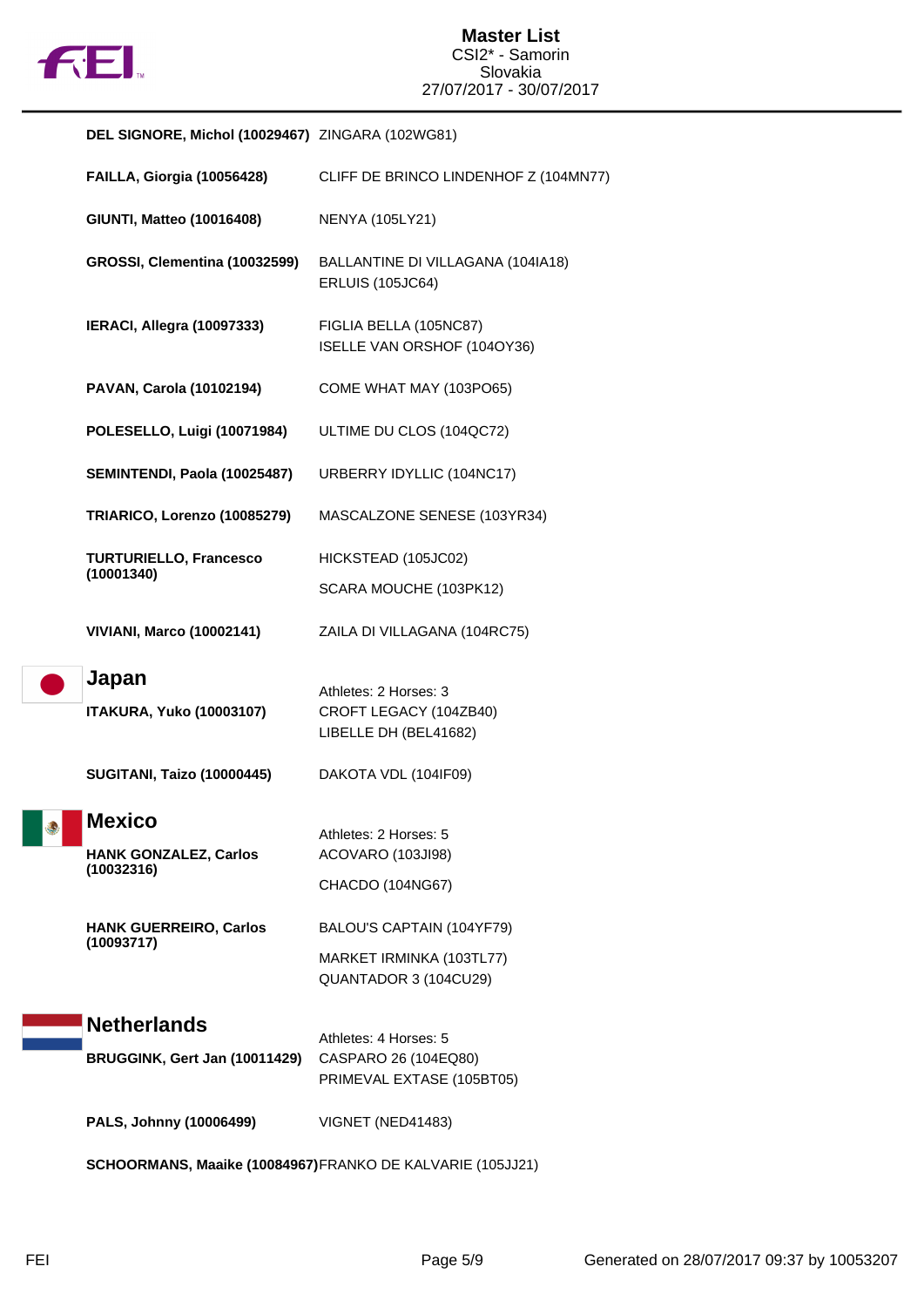

|   | DEL SIGNORE, Michol (10029467) ZINGARA (102WG81)            |                                                                                |
|---|-------------------------------------------------------------|--------------------------------------------------------------------------------|
|   | FAILLA, Giorgia (10056428)                                  | CLIFF DE BRINCO LINDENHOF Z (104MN77)                                          |
|   | GIUNTI, Matteo (10016408)                                   | <b>NENYA (105LY21)</b>                                                         |
|   | GROSSI, Clementina (10032599)                               | BALLANTINE DI VILLAGANA (104IA18)<br><b>ERLUIS (105JC64)</b>                   |
|   | IERACI, Allegra (10097333)                                  | FIGLIA BELLA (105NC87)<br>ISELLE VAN ORSHOF (104OY36)                          |
|   | PAVAN, Carola (10102194)                                    | COME WHAT MAY (103PO65)                                                        |
|   | POLESELLO, Luigi (10071984)                                 | ULTIME DU CLOS (104QC72)                                                       |
|   | SEMINTENDI, Paola (10025487)                                | URBERRY IDYLLIC (104NC17)                                                      |
|   | TRIARICO, Lorenzo (10085279)                                | MASCALZONE SENESE (103YR34)                                                    |
|   | <b>TURTURIELLO, Francesco</b><br>(10001340)                 | HICKSTEAD (105JC02)                                                            |
|   |                                                             | SCARA MOUCHE (103PK12)                                                         |
|   | <b>VIVIANI, Marco (10002141)</b>                            | ZAILA DI VILLAGANA (104RC75)                                                   |
|   | Japan<br><b>ITAKURA, Yuko (10003107)</b>                    | Athletes: 2 Horses: 3<br>CROFT LEGACY (104ZB40)<br>LIBELLE DH (BEL41682)       |
|   | <b>SUGITANI, Taizo (10000445)</b>                           | DAKOTA VDL (104IF09)                                                           |
| ۴ | <b>Mexico</b><br><b>HANK GONZALEZ, Carlos</b><br>(10032316) | Athletes: 2 Horses: 5<br>ACOVARO (103JI98)<br>CHACDO (104NG67)                 |
|   | <b>HANK GUERREIRO, Carlos</b><br>(10093717)                 | BALOU'S CAPTAIN (104YF79)<br>MARKET IRMINKA (103TL77)<br>QUANTADOR 3 (104CU29) |
|   | <b>Netherlands</b>                                          | Athletes: 4 Horses: 5                                                          |
|   | BRUGGINK, Gert Jan (10011429)                               | CASPARO 26 (104EQ80)<br>PRIMEVAL EXTASE (105BT05)                              |
|   | PALS, Johnny (10006499)                                     | VIGNET (NED41483)                                                              |
|   |                                                             |                                                                                |

**SCHOORMANS, Maaike (10084967)**FRANKO DE KALVARIE (105JJ21)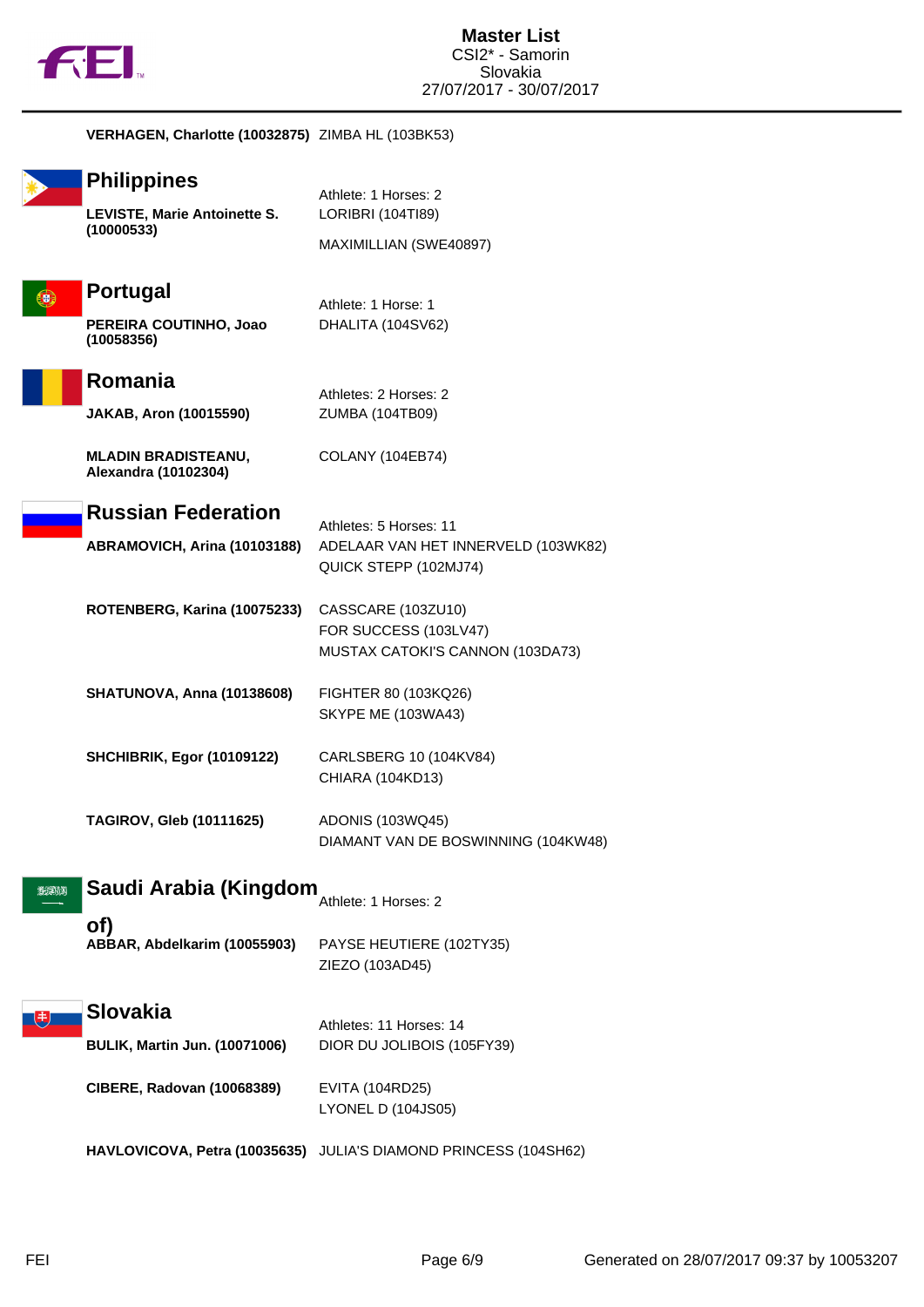

|          | VERHAGEN, Charlotte (10032875) ZIMBA HL (103BK53)                       |                                                                                        |
|----------|-------------------------------------------------------------------------|----------------------------------------------------------------------------------------|
|          | <b>Philippines</b><br><b>LEVISTE, Marie Antoinette S.</b><br>(10000533) | Athlete: 1 Horses: 2<br>LORIBRI (104TI89)<br>MAXIMILLIAN (SWE40897)                    |
|          | <b>Portugal</b><br>PEREIRA COUTINHO, Joao<br>(10058356)                 | Athlete: 1 Horse: 1<br>DHALITA (104SV62)                                               |
|          | Romania<br><b>JAKAB, Aron (10015590)</b>                                | Athletes: 2 Horses: 2<br>ZUMBA (104TB09)                                               |
|          | <b>MLADIN BRADISTEANU,</b><br>Alexandra (10102304)                      | COLANY (104EB74)                                                                       |
|          | <b>Russian Federation</b><br>ABRAMOVICH, Arina (10103188)               | Athletes: 5 Horses: 11<br>ADELAAR VAN HET INNERVELD (103WK82)<br>QUICK STEPP (102MJ74) |
|          | ROTENBERG, Karina (10075233)                                            | CASSCARE (103ZU10)<br>FOR SUCCESS (103LV47)<br>MUSTAX CATOKI'S CANNON (103DA73)        |
|          | <b>SHATUNOVA, Anna (10138608)</b>                                       | FIGHTER 80 (103KQ26)<br><b>SKYPE ME (103WA43)</b>                                      |
|          | <b>SHCHIBRIK, Egor (10109122)</b>                                       | CARLSBERG 10 (104KV84)<br>CHIARA (104KD13)                                             |
|          | <b>TAGIROV, Gleb (10111625)</b>                                         | ADONIS (103WQ45)<br>DIAMANT VAN DE BOSWINNING (104KW48)                                |
| الالاجرى | Saudi Arabia (Kingdom                                                   | Athlete: 1 Horses: 2                                                                   |
|          | of)<br>ABBAR, Abdelkarim (10055903)                                     | PAYSE HEUTIERE (102TY35)<br>ZIEZO (103AD45)                                            |
|          | <b>Slovakia</b>                                                         | Athletes: 11 Horses: 14                                                                |
|          | <b>BULIK, Martin Jun. (10071006)</b>                                    | DIOR DU JOLIBOIS (105FY39)                                                             |
|          | CIBERE, Radovan (10068389)                                              | EVITA (104RD25)<br><b>LYONEL D (104JS05)</b>                                           |
|          | HAVLOVICOVA, Petra (10035635)                                           | JULIA'S DIAMOND PRINCESS (104SH62)                                                     |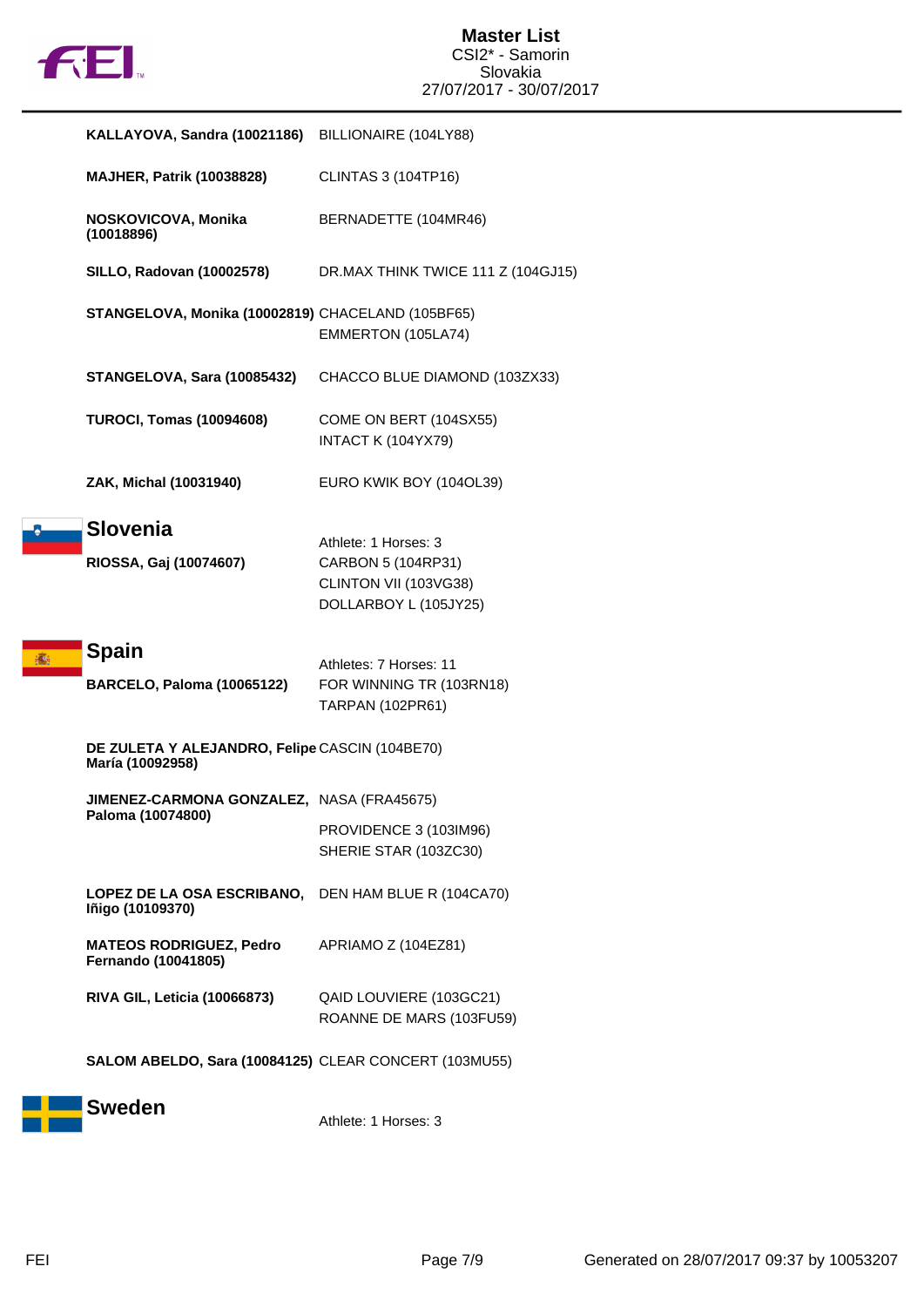

 $\frac{1}{2}$ 

| KALLAYOVA, Sandra (10021186)                                       | BILLIONAIRE (104LY88)                                                                        |
|--------------------------------------------------------------------|----------------------------------------------------------------------------------------------|
| <b>MAJHER, Patrik (10038828)</b>                                   | CLINTAS 3 (104TP16)                                                                          |
| NOSKOVICOVA, Monika<br>(10018896)                                  | BERNADETTE (104MR46)                                                                         |
| <b>SILLO, Radovan (10002578)</b>                                   | DR.MAX THINK TWICE 111 Z (104GJ15)                                                           |
| STANGELOVA, Monika (10002819) CHACELAND (105BF65)                  | EMMERTON (105LA74)                                                                           |
| STANGELOVA, Sara (10085432)                                        | CHACCO BLUE DIAMOND (103ZX33)                                                                |
| <b>TUROCI, Tomas (10094608)</b>                                    | COME ON BERT (104SX55)<br>INTACT K (104YX79)                                                 |
| ZAK, Michal (10031940)                                             | EURO KWIK BOY (104OL39)                                                                      |
| <b>Slovenia</b><br>RIOSSA, Gaj (10074607)                          | Athlete: 1 Horses: 3<br>CARBON 5 (104RP31)<br>CLINTON VII (103VG38)<br>DOLLARBOY L (105JY25) |
| <b>Spain</b><br><b>BARCELO, Paloma (10065122)</b>                  | Athletes: 7 Horses: 11<br>FOR WINNING TR (103RN18)<br><b>TARPAN (102PR61)</b>                |
|                                                                    |                                                                                              |
| DE ZULETA Y ALEJANDRO, Felipe CASCIN (104BE70)<br>María (10092958) |                                                                                              |
| JIMENEZ-CARMONA GONZALEZ, NASA (FRA45675)<br>Paloma (10074800)     | PROVIDENCE 3 (103IM96)<br>SHERIE STAR (103ZC30)                                              |
| <b>LOPEZ DE LA OSA ESCRIBANO,</b><br>Iñigo (10109370)              | DEN HAM BLUE R (104CA70)                                                                     |
| <b>MATEOS RODRIGUEZ, Pedro</b><br>Fernando (10041805)              | APRIAMO Z (104EZ81)                                                                          |
| RIVA GIL, Leticia (10066873)                                       | QAID LOUVIERE (103GC21)<br>ROANNE DE MARS (103FU59)                                          |



Athlete: 1 Horses: 3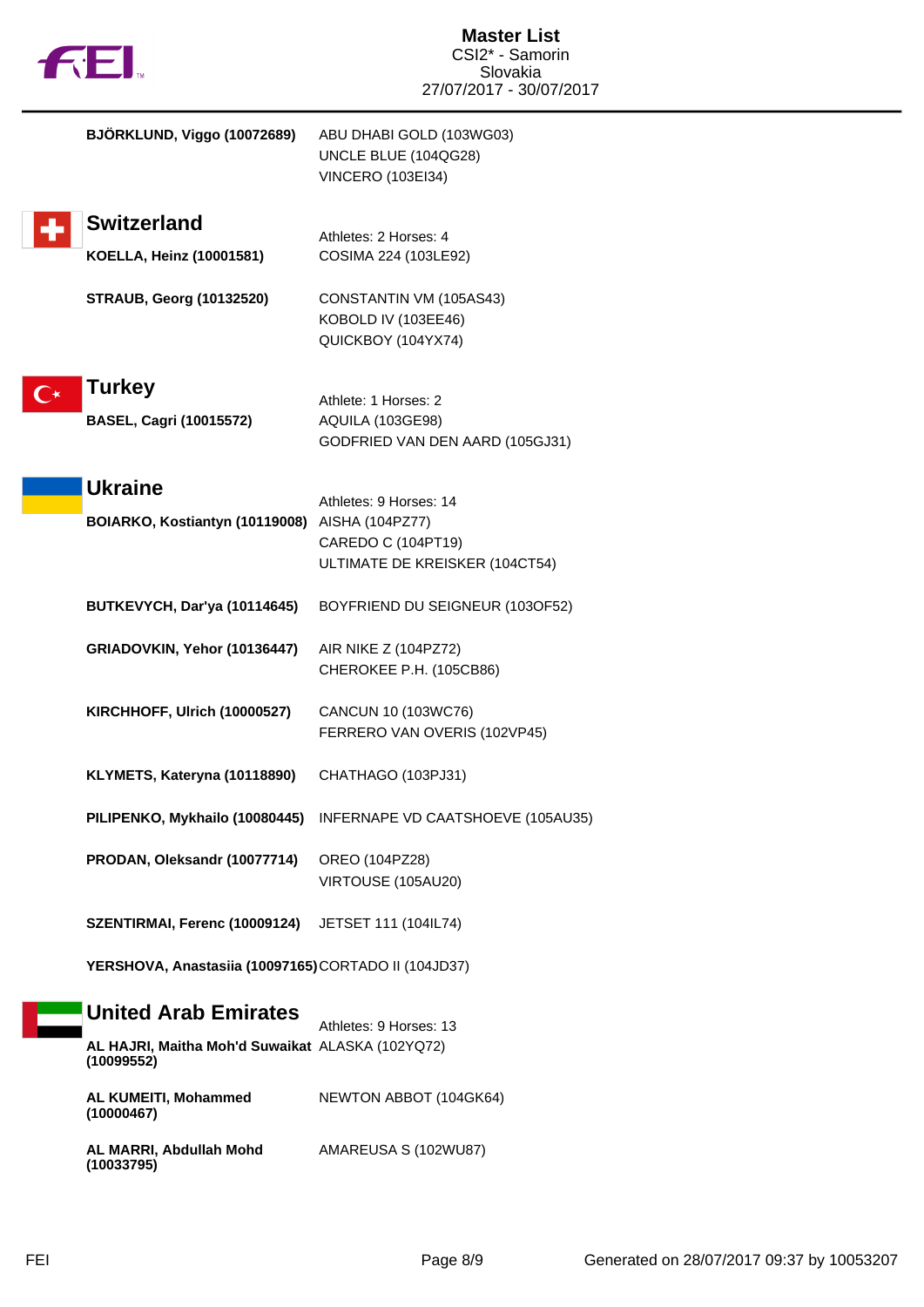| <b>FEI</b>                                                                                    | <b>Master List</b><br>CSI2* - Samorin<br>Slovakia<br>27/07/2017 - 30/07/2017   |
|-----------------------------------------------------------------------------------------------|--------------------------------------------------------------------------------|
| BJÖRKLUND, Viggo (10072689)                                                                   | ABU DHABI GOLD (103WG03)<br>UNCLE BLUE (104QG28)<br><b>VINCERO (103EI34)</b>   |
| <b>Switzerland</b><br><b>KOELLA, Heinz (10001581)</b>                                         | Athletes: 2 Horses: 4<br>COSIMA 224 (103LE92)                                  |
| <b>STRAUB, Georg (10132520)</b>                                                               | CONSTANTIN VM (105AS43)<br>KOBOLD IV (103EE46)<br>QUICKBOY (104YX74)           |
| Turkey<br><b>BASEL, Cagri (10015572)</b>                                                      | Athlete: 1 Horses: 2<br>AQUILA (103GE98)<br>GODFRIED VAN DEN AARD (105GJ31)    |
| <b>Ukraine</b><br>BOIARKO, Kostiantyn (10119008) AISHA (104PZ77)                              | Athletes: 9 Horses: 14<br>CAREDO C (104PT19)<br>ULTIMATE DE KREISKER (104CT54) |
| BUTKEVYCH, Dar'ya (10114645)                                                                  | BOYFRIEND DU SEIGNEUR (103OF52)                                                |
| GRIADOVKIN, Yehor (10136447)                                                                  | AIR NIKE Z (104PZ72)<br>CHEROKEE P.H. (105CB86)                                |
| KIRCHHOFF, Ulrich (10000527)                                                                  | CANCUN 10 (103WC76)<br>FERRERO VAN OVERIS (102VP45)                            |
| KLYMETS, Kateryna (10118890)                                                                  | CHATHAGO (103PJ31)                                                             |
| PILIPENKO, Mykhailo (10080445)                                                                | INFERNAPE VD CAATSHOEVE (105AU35)                                              |
| PRODAN, Oleksandr (10077714)                                                                  | OREO (104PZ28)<br>VIRTOUSE (105AU20)                                           |
| SZENTIRMAI, Ferenc (10009124)                                                                 | JETSET 111 (104IL74)                                                           |
| YERSHOVA, Anastasiia (10097165) CORTADO II (104JD37)                                          |                                                                                |
| <b>United Arab Emirates</b><br>AL HAJRI, Maitha Moh'd Suwaikat ALASKA (102YQ72)<br>(10099552) | Athletes: 9 Horses: 13                                                         |
| AL KUMEITI, Mohammed<br>(10000467)                                                            | NEWTON ABBOT (104GK64)                                                         |
| AL MARRI, Abdullah Mohd<br>(10033795)                                                         | AMAREUSA S (102WU87)                                                           |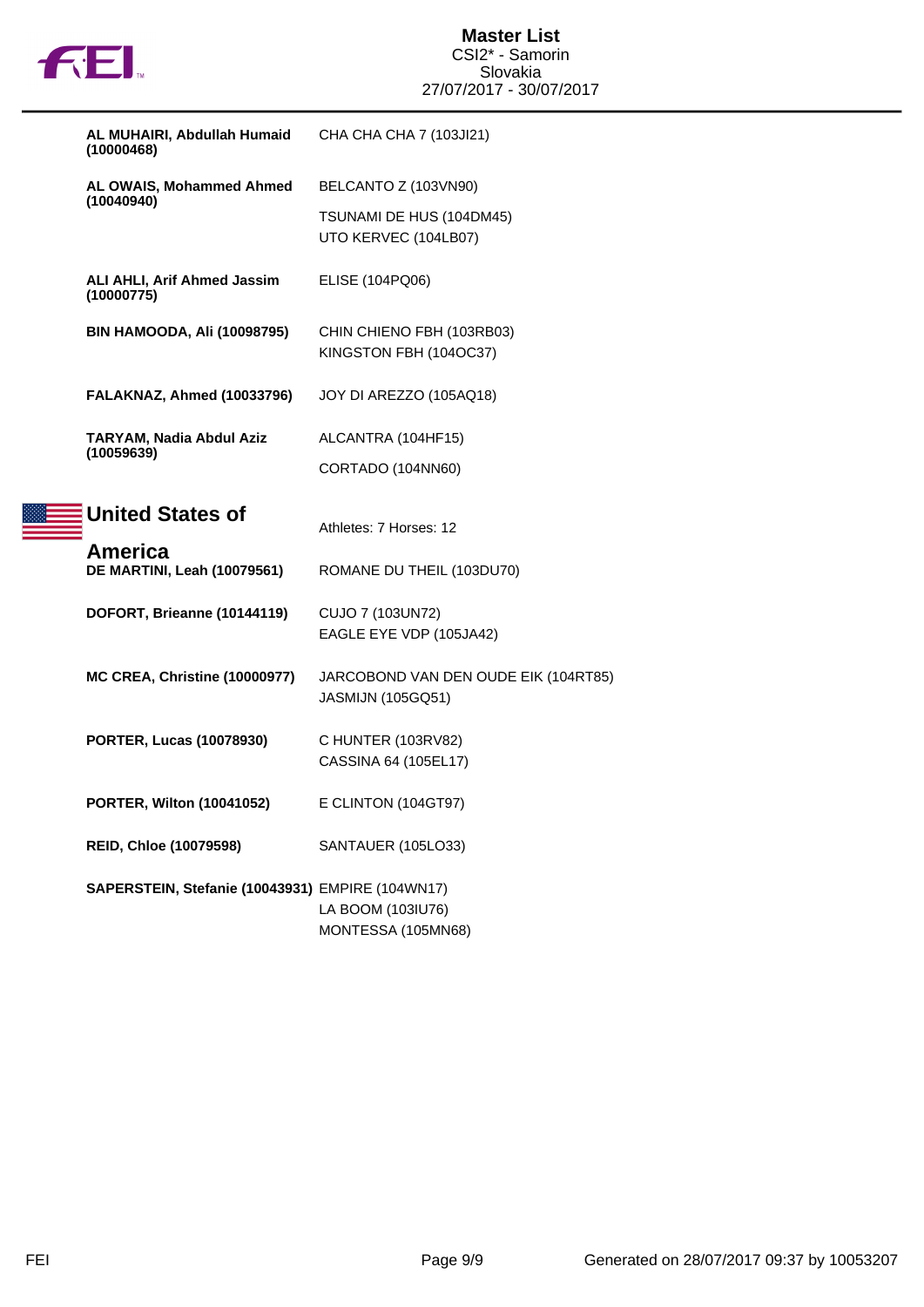

| AL MUHAIRI, Abdullah Humaid<br>(10000468)        | CHA CHA CHA 7 (103JI21)                                          |
|--------------------------------------------------|------------------------------------------------------------------|
| AL OWAIS, Mohammed Ahmed                         | BELCANTO Z (103VN90)                                             |
| (10040940)                                       | TSUNAMI DE HUS (104DM45)<br>UTO KERVEC (104LB07)                 |
| ALI AHLI, Arif Ahmed Jassim<br>(10000775)        | ELISE (104PQ06)                                                  |
| <b>BIN HAMOODA, Ali (10098795)</b>               | CHIN CHIENO FBH (103RB03)<br>KINGSTON FBH (104OC37)              |
| FALAKNAZ, Ahmed (10033796)                       | JOY DI AREZZO (105AQ18)                                          |
| TARYAM, Nadia Abdul Aziz                         | ALCANTRA (104HF15)                                               |
| (10059639)                                       | CORTADO (104NN60)                                                |
| <b>United States of</b>                          | Athletes: 7 Horses: 12                                           |
| America<br>DE MARTINI, Leah (10079561)           | ROMANE DU THEIL (103DU70)                                        |
| DOFORT, Brieanne (10144119)                      | CUJO 7 (103UN72)<br>EAGLE EYE VDP (105JA42)                      |
| <b>MC CREA, Christine (10000977)</b>             | JARCOBOND VAN DEN OUDE EIK (104RT85)<br><b>JASMIJN (105GQ51)</b> |
| <b>PORTER, Lucas (10078930)</b>                  | C HUNTER (103RV82)<br>CASSINA 64 (105EL17)                       |
| <b>PORTER, Wilton (10041052)</b>                 | E CLINTON (104GT97)                                              |
| <b>REID, Chloe (10079598)</b>                    | SANTAUER (105LO33)                                               |
| SAPERSTEIN, Stefanie (10043931) EMPIRE (104WN17) |                                                                  |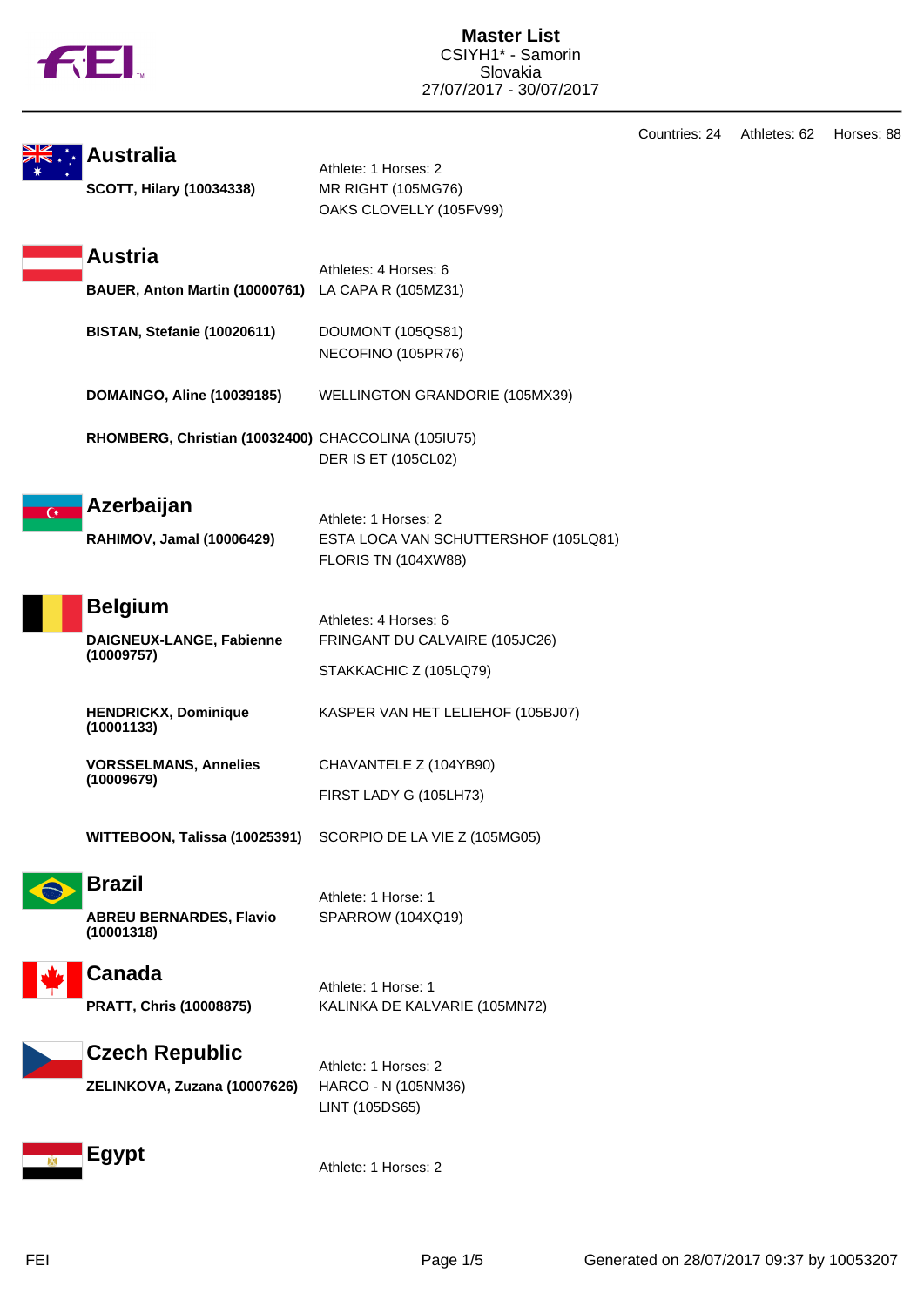|  |  | N |
|--|--|---|
|  |  |   |

|                                                     |                                                               |                                                                                     | Countries: 24 |  |
|-----------------------------------------------------|---------------------------------------------------------------|-------------------------------------------------------------------------------------|---------------|--|
| <b>Australia</b><br><b>SCOTT, Hilary (10034338)</b> |                                                               | Athlete: 1 Horses: 2<br>MR RIGHT (105MG76)<br>OAKS CLOVELLY (105FV99)               |               |  |
|                                                     | <b>Austria</b>                                                |                                                                                     |               |  |
|                                                     | BAUER, Anton Martin (10000761)                                | Athletes: 4 Horses: 6<br>LA CAPA R (105MZ31)                                        |               |  |
|                                                     | BISTAN, Stefanie (10020611)                                   | DOUMONT (105QS81)<br>NECOFINO (105PR76)                                             |               |  |
|                                                     | <b>DOMAINGO, Aline (10039185)</b>                             | WELLINGTON GRANDORIE (105MX39)                                                      |               |  |
|                                                     | RHOMBERG, Christian (10032400) CHACCOLINA (105IU75)           | <b>DER IS ET (105CL02)</b>                                                          |               |  |
| $\overline{C}$                                      | Azerbaijan                                                    |                                                                                     |               |  |
|                                                     | RAHIMOV, Jamal (10006429)                                     | Athlete: 1 Horses: 2<br>ESTA LOCA VAN SCHUTTERSHOF (105LQ81)<br>FLORIS TN (104XW88) |               |  |
|                                                     | <b>Belgium</b>                                                |                                                                                     |               |  |
|                                                     | DAIGNEUX-LANGE, Fabienne<br>(10009757)                        | Athletes: 4 Horses: 6<br>FRINGANT DU CALVAIRE (105JC26)                             |               |  |
|                                                     |                                                               | STAKKACHIC Z (105LQ79)                                                              |               |  |
|                                                     | <b>HENDRICKX, Dominique</b><br>(10001133)                     | KASPER VAN HET LELIEHOF (105BJ07)                                                   |               |  |
|                                                     | <b>VORSSELMANS, Annelies</b>                                  | CHAVANTELE Z (104YB90)                                                              |               |  |
|                                                     | (10009679)                                                    | FIRST LADY G (105LH73)                                                              |               |  |
|                                                     | WITTEBOON, Talissa (10025391)                                 | SCORPIO DE LA VIE Z (105MG05)                                                       |               |  |
|                                                     | <b>Brazil</b><br><b>ABREU BERNARDES, Flavio</b><br>(10001318) | Athlete: 1 Horse: 1<br>SPARROW (104XQ19)                                            |               |  |
|                                                     | Canada                                                        |                                                                                     |               |  |
|                                                     | PRATT, Chris (10008875)                                       | Athlete: 1 Horse: 1<br>KALINKA DE KALVARIE (105MN72)                                |               |  |
|                                                     | <b>Czech Republic</b>                                         | Athlete: 1 Horses: 2                                                                |               |  |
|                                                     | ZELINKOVA, Zuzana (10007626)                                  | HARCO - N (105NM36)<br>LINT (105DS65)                                               |               |  |
|                                                     | Egypt                                                         | Athlete: 1 Horses: 2                                                                |               |  |

Athletes: 62 Horses: 88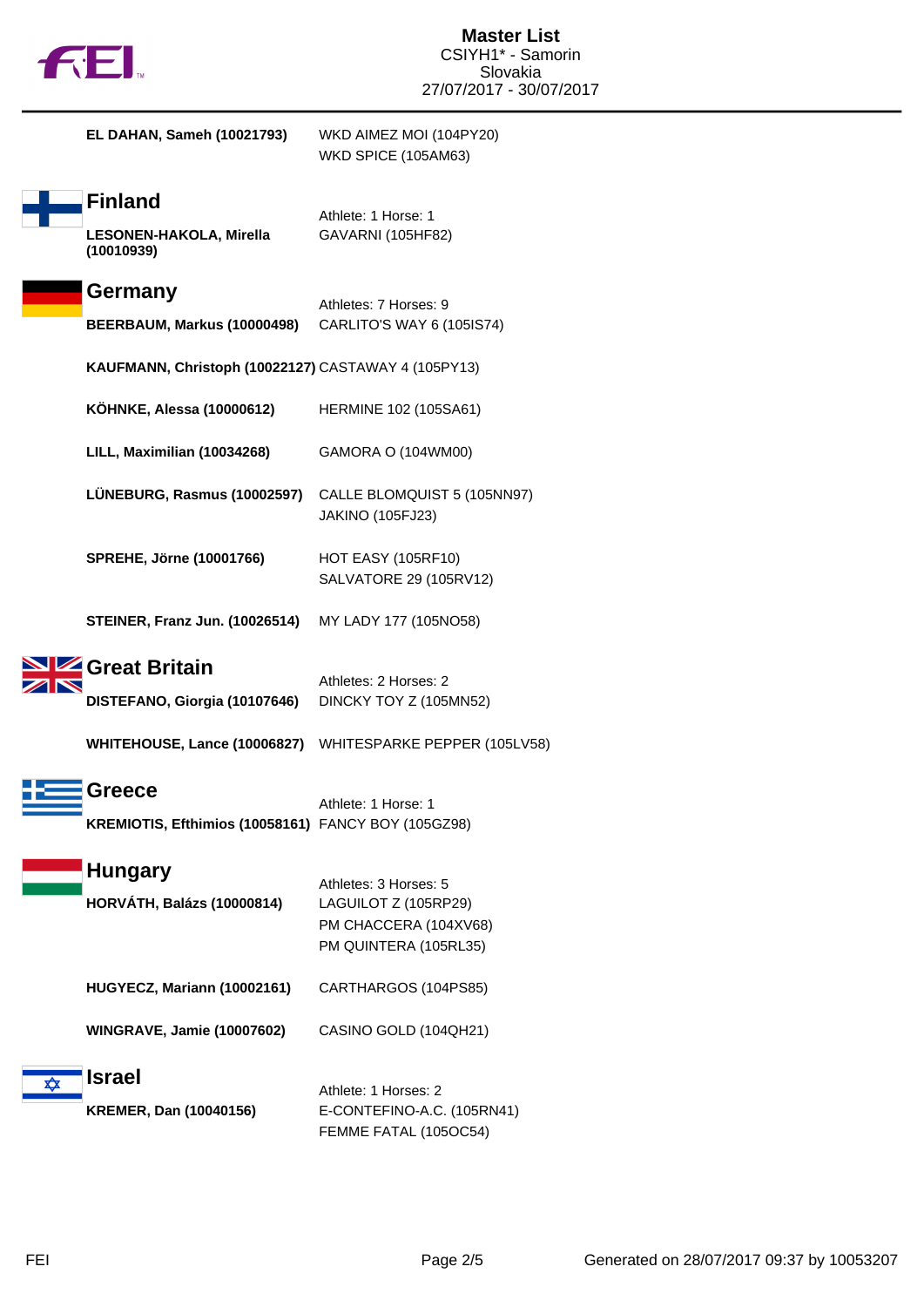|  | M |
|--|---|
|  |   |

|   | EL DAHAN, Sameh (10021793)                                                              | WKD AIMEZ MOI (104PY20)<br>WKD SPICE (105AM63)                                                  |
|---|-----------------------------------------------------------------------------------------|-------------------------------------------------------------------------------------------------|
|   | <b>Finland</b><br>LESONEN-HAKOLA, Mirella<br>(10010939)                                 | Athlete: 1 Horse: 1<br>GAVARNI (105HF82)                                                        |
|   | Germany<br>BEERBAUM, Markus (10000498)                                                  | Athletes: 7 Horses: 9<br>CARLITO'S WAY 6 (105IS74)                                              |
|   | KAUFMANN, Christoph (10022127) CASTAWAY 4 (105PY13)                                     |                                                                                                 |
|   | <b>KOHNKE, Alessa (10000612)</b>                                                        | HERMINE 102 (105SA61)                                                                           |
|   | LILL, Maximilian (10034268)                                                             | GAMORA O (104WM00)                                                                              |
|   | LÜNEBURG, Rasmus (10002597)                                                             | CALLE BLOMQUIST 5 (105NN97)<br><b>JAKINO (105FJ23)</b>                                          |
|   | <b>SPREHE, Jörne (10001766)</b>                                                         | <b>HOT EASY (105RF10)</b><br>SALVATORE 29 (105RV12)                                             |
|   | <b>STEINER, Franz Jun. (10026514)</b>                                                   | MY LADY 177 (105NO58)                                                                           |
|   | <b>Z</b> Great Britain<br>DISTEFANO, Giorgia (10107646)<br>WHITEHOUSE, Lance (10006827) | Athletes: 2 Horses: 2<br>DINCKY TOY Z (105MN52)<br>WHITESPARKE PEPPER (105LV58)                 |
|   | Greece<br>KREMIOTIS, Efthimios (10058161) FANCY BOY (105GZ98)                           | Athlete: 1 Horse: 1                                                                             |
|   | <b>Hungary</b><br><b>HORVÁTH, Balázs (10000814)</b>                                     | Athletes: 3 Horses: 5<br>LAGUILOT Z (105RP29)<br>PM CHACCERA (104XV68)<br>PM QUINTERA (105RL35) |
|   | HUGYECZ, Mariann (10002161)                                                             | CARTHARGOS (104PS85)                                                                            |
|   | <b>WINGRAVE, Jamie (10007602)</b>                                                       | CASINO GOLD (104QH21)                                                                           |
| ✿ | <b>Israel</b><br><b>KREMER, Dan (10040156)</b>                                          | Athlete: 1 Horses: 2<br>E-CONTEFINO-A.C. (105RN41)<br>FEMME FATAL (105OC54)                     |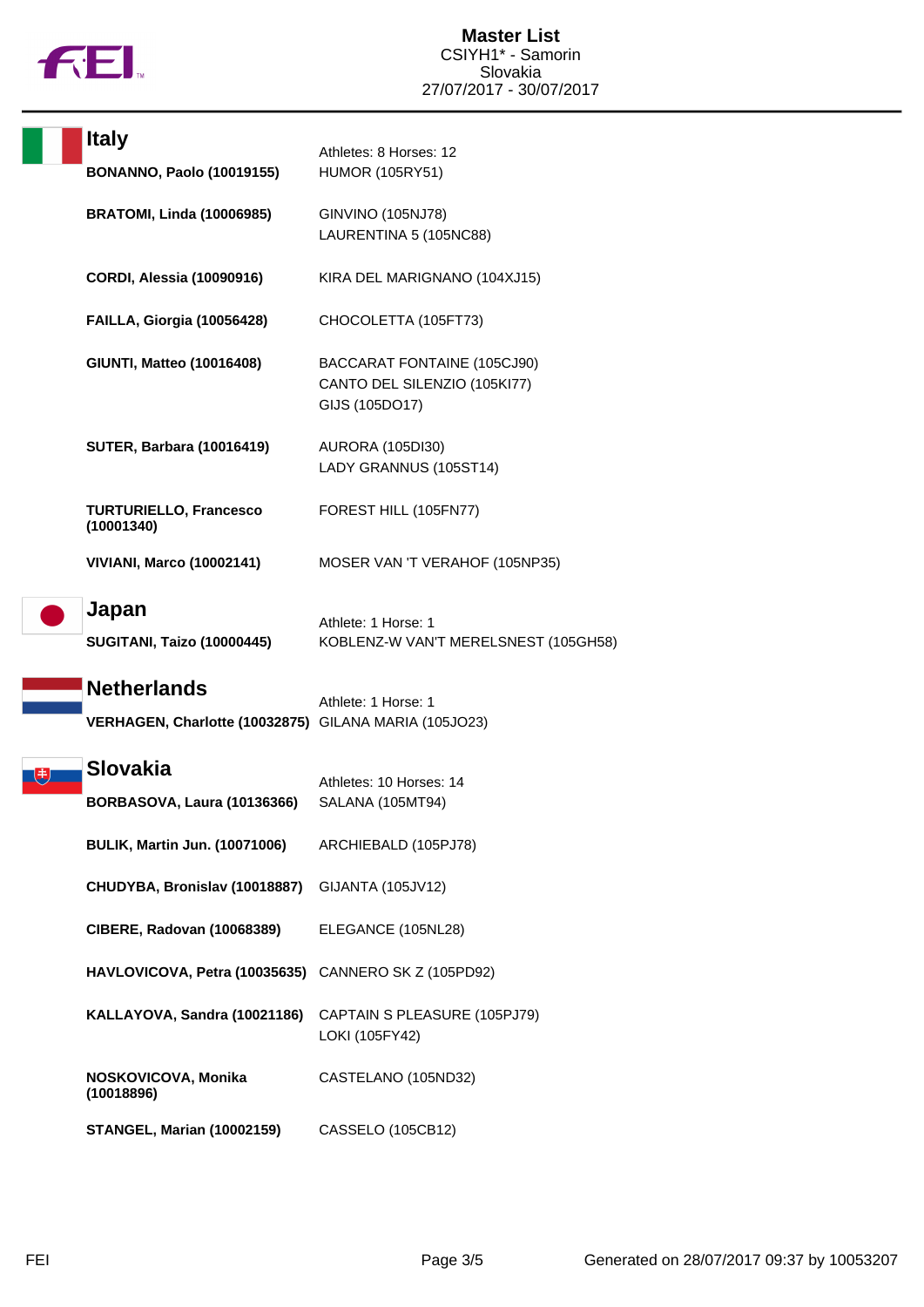

|  | <b>Italy</b>                                                                | Athletes: 8 Horses: 12                                                        |
|--|-----------------------------------------------------------------------------|-------------------------------------------------------------------------------|
|  | <b>BONANNO, Paolo (10019155)</b>                                            | <b>HUMOR (105RY51)</b>                                                        |
|  | <b>BRATOMI, Linda (10006985)</b>                                            | <b>GINVINO (105NJ78)</b><br>LAURENTINA 5 (105NC88)                            |
|  | <b>CORDI, Alessia (10090916)</b>                                            | KIRA DEL MARIGNANO (104XJ15)                                                  |
|  | FAILLA, Giorgia (10056428)                                                  | CHOCOLETTA (105FT73)                                                          |
|  | <b>GIUNTI, Matteo (10016408)</b>                                            | BACCARAT FONTAINE (105CJ90)<br>CANTO DEL SILENZIO (105KI77)<br>GIJS (105DO17) |
|  | <b>SUTER, Barbara (10016419)</b>                                            | <b>AURORA (105DI30)</b><br>LADY GRANNUS (105ST14)                             |
|  | <b>TURTURIELLO, Francesco</b><br>(10001340)                                 | FOREST HILL (105FN77)                                                         |
|  | <b>VIVIANI, Marco (10002141)</b>                                            | MOSER VAN 'T VERAHOF (105NP35)                                                |
|  | Japan<br><b>SUGITANI, Taizo (10000445)</b>                                  | Athlete: 1 Horse: 1<br>KOBLENZ-W VAN'T MERELSNEST (105GH58)                   |
|  | <b>Netherlands</b><br>VERHAGEN, Charlotte (10032875) GILANA MARIA (105JO23) | Athlete: 1 Horse: 1                                                           |
|  | Slovakia<br><b>BORBASOVA, Laura (10136366)</b>                              | Athletes: 10 Horses: 14<br>SALANA (105MT94)                                   |
|  | <b>BULIK, Martin Jun. (10071006)</b>                                        | ARCHIEBALD (105PJ78)                                                          |
|  | CHUDYBA, Bronislav (10018887)                                               | GIJANTA (105JV12)                                                             |
|  | <b>CIBERE, Radovan (10068389)</b>                                           | ELEGANCE (105NL28)                                                            |
|  | HAVLOVICOVA, Petra (10035635)                                               | CANNERO SK Z (105PD92)                                                        |
|  | KALLAYOVA, Sandra (10021186)                                                | CAPTAIN S PLEASURE (105PJ79)<br>LOKI (105FY42)                                |
|  | NOSKOVICOVA, Monika<br>(10018896)                                           | CASTELANO (105ND32)                                                           |
|  | <b>STANGEL, Marian (10002159)</b>                                           | <b>CASSELO (105CB12)</b>                                                      |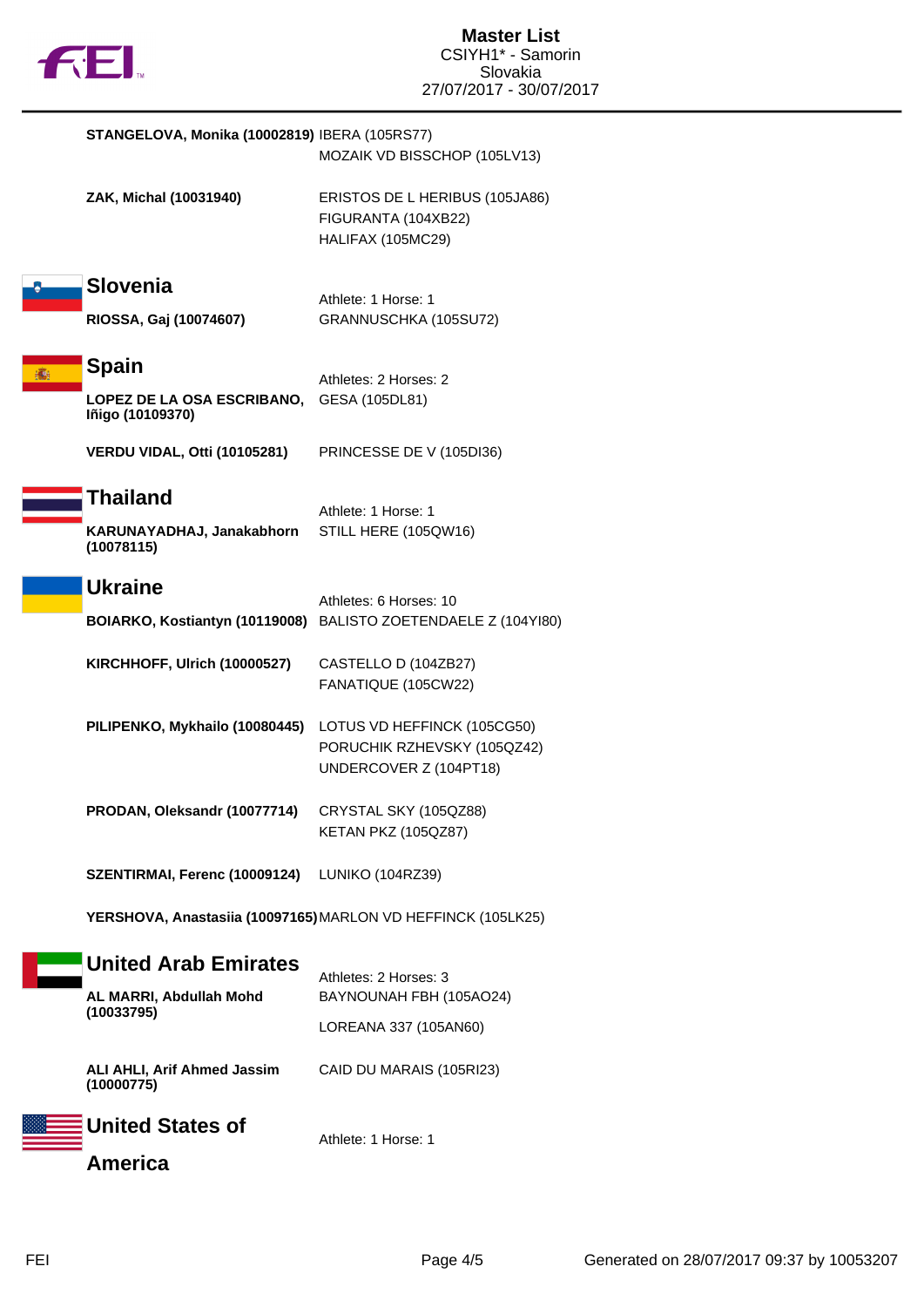

|   | STANGELOVA, Monika (10002819) IBERA (105RS77)                         | MOZAIK VD BISSCHOP (105LV13)                                                             |
|---|-----------------------------------------------------------------------|------------------------------------------------------------------------------------------|
|   | ZAK, Michal (10031940)                                                | ERISTOS DE L HERIBUS (105JA86)<br>FIGURANTA (104XB22)<br>HALIFAX (105MC29)               |
|   | <b>Slovenia</b><br>RIOSSA, Gaj (10074607)                             | Athlete: 1 Horse: 1<br>GRANNUSCHKA (105SU72)                                             |
| 麻 | <b>Spain</b><br><b>LOPEZ DE LA OSA ESCRIBANO,</b><br>Iñigo (10109370) | Athletes: 2 Horses: 2<br>GESA (105DL81)                                                  |
|   | VERDU VIDAL, Otti (10105281)                                          | PRINCESSE DE V (105DI36)                                                                 |
|   | Thailand<br>KARUNAYADHAJ, Janakabhorn<br>(10078115)                   | Athlete: 1 Horse: 1<br>STILL HERE (105QW16)                                              |
|   | <b>Ukraine</b>                                                        | Athletes: 6 Horses: 10<br>BOIARKO, Kostiantyn (10119008) BALISTO ZOETENDAELE Z (104Y180) |
|   | KIRCHHOFF, Ulrich (10000527)                                          | CASTELLO D (104ZB27)<br>FANATIQUE (105CW22)                                              |
|   | PILIPENKO, Mykhailo (10080445)                                        | LOTUS VD HEFFINCK (105CG50)<br>PORUCHIK RZHEVSKY (105QZ42)<br>UNDERCOVER Z (104PT18)     |
|   | PRODAN, Oleksandr (10077714)                                          | CRYSTAL SKY (105QZ88)<br>KETAN PKZ (105QZ87)                                             |
|   | SZENTIRMAI, Ferenc (10009124)                                         | LUNIKO (104RZ39)                                                                         |
|   |                                                                       | YERSHOVA, Anastasiia (10097165) MARLON VD HEFFINCK (105LK25)                             |
|   | <b>United Arab Emirates</b><br>AL MARRI, Abdullah Mohd<br>(10033795)  | Athletes: 2 Horses: 3<br>BAYNOUNAH FBH (105AO24)<br>LOREANA 337 (105AN60)                |
|   | <b>ALI AHLI, Arif Ahmed Jassim</b><br>(10000775)<br>$\blacksquare$    | CAID DU MARAIS (105RI23)                                                                 |

Athlete: 1 Horse: 1